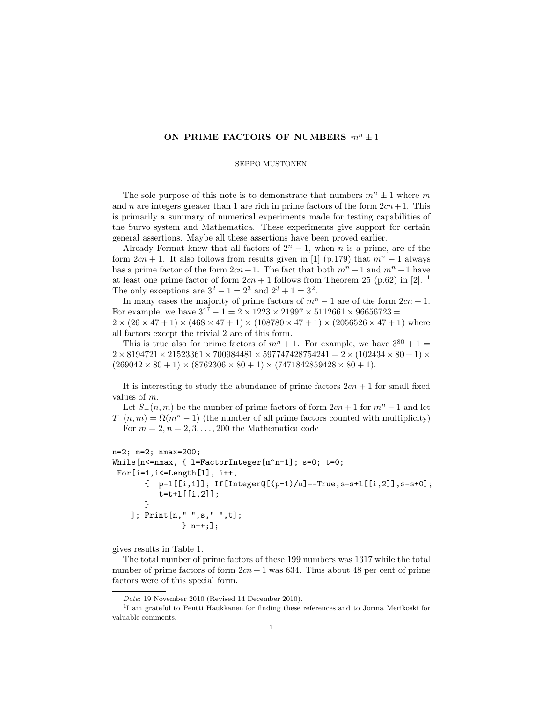## ON PRIME FACTORS OF NUMBERS  $m^n \pm 1$

## SEPPO MUSTONEN

The sole purpose of this note is to demonstrate that numbers  $m^n \pm 1$  where m and n are integers greater than 1 are rich in prime factors of the form  $2cn+1$ . This is primarily a summary of numerical experiments made for testing capabilities of the Survo system and Mathematica. These experiments give support for certain general assertions. Maybe all these assertions have been proved earlier.

Already Fermat knew that all factors of  $2<sup>n</sup> - 1$ , when n is a prime, are of the form  $2cn + 1$ . It also follows from results given in [1] (p.179) that  $m<sup>n</sup> - 1$  always has a prime factor of the form  $2cn+1$ . The fact that both  $m^{n}+1$  and  $m^{n}-1$  have at least one prime factor of form  $2cn + 1$  follows from Theorem 25 (p.62) in [2]. <sup>1</sup> The only exceptions are  $3^2 - 1 = 2^3$  and  $2^3 + 1 = 3^2$ .

In many cases the majority of prime factors of  $m<sup>n</sup> - 1$  are of the form  $2cn + 1$ . For example, we have  $3^{47} - 1 = 2 \times 1223 \times 21997 \times 5112661 \times 96656723 =$  $2 \times (26 \times 47 + 1) \times (468 \times 47 + 1) \times (108780 \times 47 + 1) \times (2056526 \times 47 + 1)$  where all factors except the trivial 2 are of this form.

This is true also for prime factors of  $m^{n} + 1$ . For example, we have  $3^{80} + 1 =$  $2 \times 8194721 \times 21523361 \times 700984481 \times 597747428754241 = 2 \times (102434 \times 80 + 1) \times$  $(269042 \times 80 + 1) \times (8762306 \times 80 + 1) \times (7471842859428 \times 80 + 1).$ 

It is interesting to study the abundance of prime factors  $2cn + 1$  for small fixed values of m.

Let  $S_-(n,m)$  be the number of prime factors of form  $2cn + 1$  for  $m<sup>n</sup> - 1$  and let  $T_-(n,m) = \Omega(m^n - 1)$  (the number of all prime factors counted with multiplicity) For  $m = 2, n = 2, 3, \ldots, 200$  the Mathematica code

```
n=2; m=2; nmax=200;
While[n<=nmax, { l=FactorInteger[m^n-1]; s=0; t=0;
 For[i=1,i<=Length[l], i++,
       \{ p=l[[i,1]]; If[IntegerQ[(p-1)/n]==True,s=s+l[[i,2]],s=s+0];
          t=t+1[[i,2]];
       }
    ]; Print[n," ",s," ",t];
               } n++;];
```
gives results in Table 1.

The total number of prime factors of these 199 numbers was 1317 while the total number of prime factors of form  $2cn + 1$  was 634. Thus about 48 per cent of prime factors were of this special form.

Date: 19 November 2010 (Revised 14 December 2010).

<sup>1</sup> I am grateful to Pentti Haukkanen for finding these references and to Jorma Merikoski for valuable comments.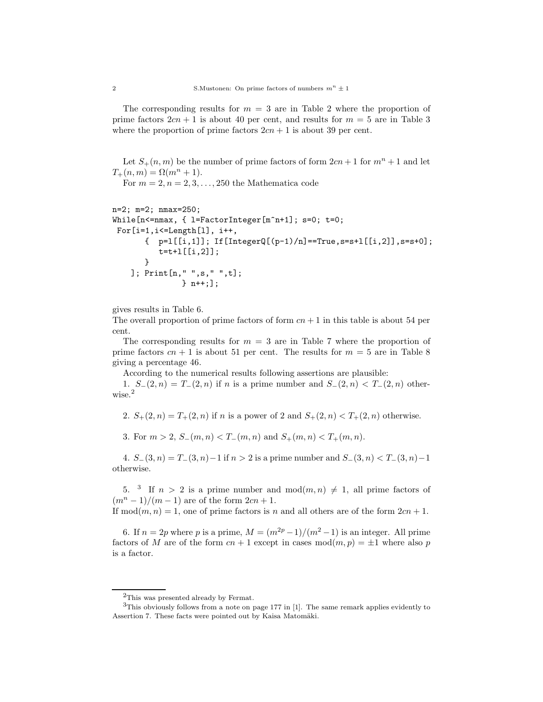The corresponding results for  $m = 3$  are in Table 2 where the proportion of prime factors  $2cn + 1$  is about 40 per cent, and results for  $m = 5$  are in Table 3 where the proportion of prime factors  $2cn + 1$  is about 39 per cent.

Let  $S_+(n,m)$  be the number of prime factors of form  $2cn+1$  for  $m^n+1$  and let  $T_{+}(n,m) = \Omega(m^{n} + 1).$ 

For  $m = 2, n = 2, 3, \ldots, 250$  the Mathematica code

```
n=2; m=2; nmax=250;
While[n<=nmax, { l=FactorInteger[m^n+1]; s=0; t=0;
For[i=1,i<=Length[l], i++,
       \{ p=l[[i,1]]; If[IntegerQ[(p-1)/n]==True,s=s+l[[i,2]],s=s+0];
          t=t+1[[i,2]];
       }
    ]; Print[n," ",s," ",t];
               } n++;];
```
gives results in Table 6.

The overall proportion of prime factors of form  $cn + 1$  in this table is about 54 per cent.

The corresponding results for  $m = 3$  are in Table 7 where the proportion of prime factors  $cn + 1$  is about 51 per cent. The results for  $m = 5$  are in Table 8 giving a percentage 46.

According to the numerical results following assertions are plausible:

1.  $S_{-}(2, n) = T_{-}(2, n)$  if n is a prime number and  $S_{-}(2, n) < T_{-}(2, n)$  otherwise.<sup>2</sup>

2.  $S_+(2, n) = T_+(2, n)$  if n is a power of 2 and  $S_+(2, n) < T_+(2, n)$  otherwise.

3. For  $m > 2$ ,  $S_-(m, n) < T_-(m, n)$  and  $S_+(m, n) < T_+(m, n)$ .

4.  $S_-(3, n) = T_-(3, n)-1$  if  $n > 2$  is a prime number and  $S_-(3, n) < T_-(3, n)-1$ otherwise.

5. <sup>3</sup> If  $n > 2$  is a prime number and  $mod(m, n) \neq 1$ , all prime factors of  $(m^{n} - 1)/(m - 1)$  are of the form  $2cn + 1$ .

If  $mod(m, n) = 1$ , one of prime factors is n and all others are of the form  $2cn + 1$ .

6. If  $n = 2p$  where p is a prime,  $M = (m^{2p}-1)/(m^2-1)$  is an integer. All prime factors of M are of the form  $cn + 1$  except in cases  $mod(m, p) = \pm 1$  where also p is a factor.

<sup>2</sup>This was presented already by Fermat.

<sup>3</sup>This obviously follows from a note on page 177 in [1]. The same remark applies evidently to Assertion 7. These facts were pointed out by Kaisa Matomäki.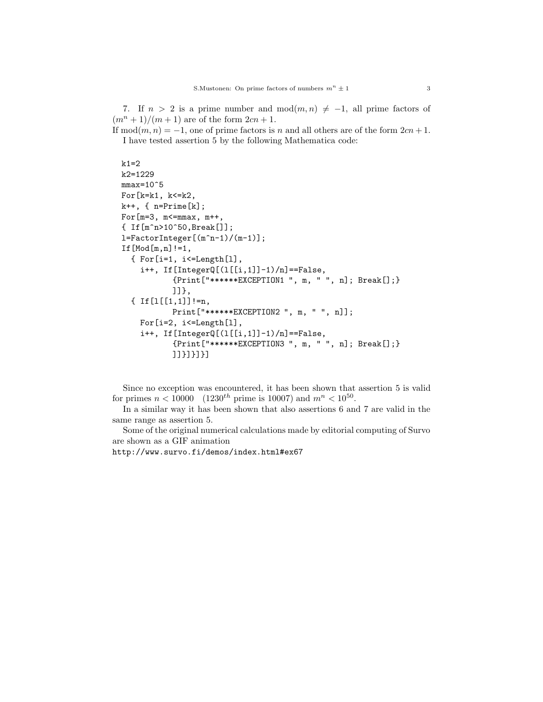7. If  $n > 2$  is a prime number and  $mod(m, n) \neq -1$ , all prime factors of  $(m^{n} + 1)/(m + 1)$  are of the form  $2cn + 1$ .

If mod $(m, n) = -1$ , one of prime factors is n and all others are of the form  $2cn + 1$ . I have tested assertion 5 by the following Mathematica code:

```
k1=2k2=1229
mmax=10^65For[k=k1, k<=k2,
k++, { n=Prime[k];
For [m=3, m <= mmax, m + +,
{ If[m^n>10^50,Break[]];
l=FactorInteger[(m^n-1)/(m-1)];
If[Mod[m,n]!=1,
  { For[i=1, i<=Length[l],
    i++, If[IntegerQ[(l[[i,1]]-1)/n]==False,
           {Print["******EXCEPTION1 ", m, " ", n]; Break[];}
           ]]},
  { If [1[1,1]] != n,
           Print["******EXCEPTION2 ", m, " ", n]];
    For[i=2, i<=Length[l],
    i++, If [InterQ[(1[[i,1]]-1)/n] == False,
           {Print["******EXCEPTION3 ", m, " ", n]; Break[];}
           ]]}]}]}]
```
Since no exception was encountered, it has been shown that assertion 5 is valid for primes  $n < 10000$  (1230<sup>th</sup> prime is 10007) and  $m^{n} < 10^{50}$ .

In a similar way it has been shown that also assertions 6 and 7 are valid in the same range as assertion 5.

Some of the original numerical calculations made by editorial computing of Survo are shown as a GIF animation

http://www.survo.fi/demos/index.html#ex67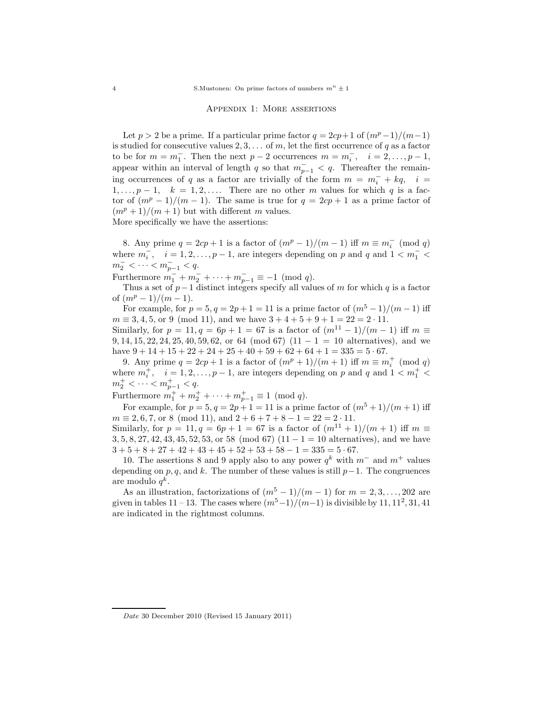## Appendix 1: More assertions

Let  $p > 2$  be a prime. If a particular prime factor  $q = 2cp+1$  of  $(m<sup>p</sup> - 1)/(m-1)$ is studied for consecutive values  $2, 3, \ldots$  of m, let the first occurrence of q as a factor to be for  $m = m_1^-$ . Then the next  $p-2$  occurrences  $m = m_i^-$ ,  $i = 2, ..., p-1$ , appear within an interval of length q so that  $m_{p-1}^- < q$ . Thereafter the remaining occurrences of q as a factor are trivially of the form  $m = m_i^- + kq$ ,  $i =$  $1, \ldots, p-1, \quad k = 1, 2, \ldots$  There are no other m values for which q is a factor of  $(m^p - 1)/(m - 1)$ . The same is true for  $q = 2cp + 1$  as a prime factor of  $(m^p + 1)/(m + 1)$  but with different m values.

More specifically we have the assertions:

8. Any prime  $q = 2cp + 1$  is a factor of  $(m^p - 1)/(m - 1)$  iff  $m \equiv m_i^- \pmod{q}$ where  $m_i^-, i = 1, 2, ..., p-1$ , are integers depending on p and q and  $1 < m_1^ m_2^-$  < · · · <  $m_{p-1}^-$  < q.

Furthermore  $m_1^- + m_2^- + \cdots + m_{p-1}^- \equiv -1 \pmod{q}$ .

Thus a set of  $p-1$  distinct integers specify all values of m for which q is a factor of  $(m^p-1)/(m-1)$ .

For example, for  $p = 5, q = 2p + 1 = 11$  is a prime factor of  $(m^5 - 1)/(m - 1)$  iff  $m \equiv 3, 4, 5$ , or 9 (mod 11), and we have  $3 + 4 + 5 + 9 + 1 = 22 = 2 \cdot 11$ .

Similarly, for  $p = 11, q = 6p + 1 = 67$  is a factor of  $\frac{m^{11} - 1}{m - 1}$  iff  $m \equiv$ 9, 14, 15, 22, 24, 25, 40, 59, 62, or 64 (mod 67)  $(11 - 1 = 10$  alternatives), and we have  $9 + 14 + 15 + 22 + 24 + 25 + 40 + 59 + 62 + 64 + 1 = 335 = 5.67$ .

9. Any prime  $q = 2cp + 1$  is a factor of  $\left(\frac{m^p + 1}{m + 1}\right)$  iff  $m \equiv m_i^+ \pmod{q}$ where  $m_i^+$ ,  $i = 1, 2, ..., p - 1$ , are integers depending on p and q and  $1 < m_1^+$  $m_2^+ < \cdots < m_{p-1}^+ < q.$ 

Furthermore  $m_1^+ + m_2^+ + \cdots + m_{p-1}^+ \equiv 1 \pmod{q}$ .

For example, for  $p = 5, q = 2p + 1 = 11$  is a prime factor of  $\frac{m^5 + 1}{m + 1}$  iff  $m \equiv 2, 6, 7,$  or 8 (mod 11), and  $2 + 6 + 7 + 8 - 1 = 22 = 2 \cdot 11$ .

Similarly, for  $p = 11, q = 6p + 1 = 67$  is a factor of  $(m^{11} + 1)/(m + 1)$  iff  $m \equiv$ 3, 5, 8, 27, 42, 43, 45, 52, 53, or 58 (mod 67)  $(11 - 1 = 10$  alternatives), and we have  $3 + 5 + 8 + 27 + 42 + 43 + 45 + 52 + 53 + 58 - 1 = 335 = 5 \cdot 67.$ 

10. The assertions 8 and 9 apply also to any power  $q^k$  with  $m^-$  and  $m^+$  values depending on p, q, and k. The number of these values is still  $p-1$ . The congruences are modulo  $q^k$ .

As an illustration, factorizations of  $(m^5 - 1)/(m - 1)$  for  $m = 2, 3, ..., 202$  are given in tables 11 – 13. The cases where  $\frac{m^5-1}{m-1}$  is divisible by 11, 11<sup>2</sup>, 31, 41 are indicated in the rightmost columns.

Date 30 December 2010 (Revised 15 January 2011)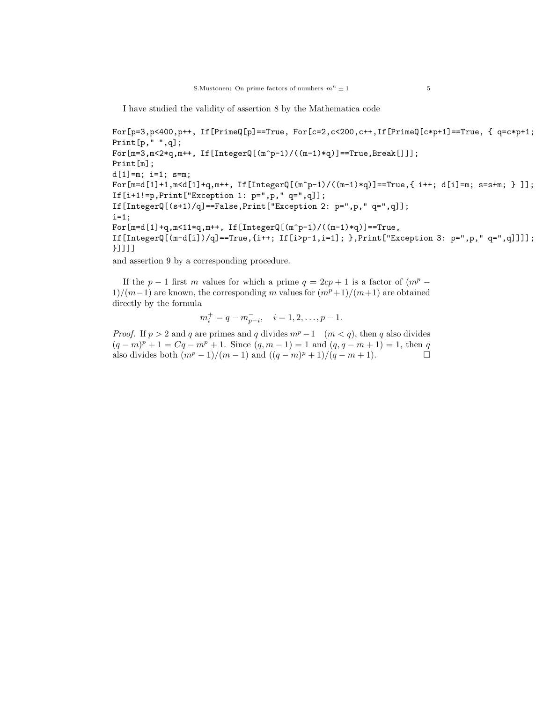I have studied the validity of assertion 8 by the Mathematica code

```
For[p=3,p<400,p++, If[PrimeQ[p] == True, For [c=2,c<200,c++], If[PrimeQ[c*p+1] == True, { q=c*p+1 };
Print[p," ",q];
For [m=3, m&lt;2*q, m++, If [IntegerQ[(m<sup>o</sup>-1)/((m-1)*q)] == True, Break[]]];Print[m];
d[1]=m; i=1; s=m;
For [m=d[1]+1, m < d[1]+q, m++, If [IntegerQ[(m^p-1)/((m-1)*q)] == True, { i++; d[i]=m; s=s+m; } ]];If[i+1!=p,Print["Exception 1: p=",p," q=",q]];
If[IntegerQ[(s+1)/q]==False,Print["Exception 2: p=",p," q=",q]];
i=1;
For [m=d[1]+q, m&lt;11*q, m++, If [IntegerQ[(m<sup>o</sup>p-1)/( (m-1)*q)]=-True,If [IntergerQ[(m-d[i])/q]=True, {i++; If[i > p-1, i=1]; }, Print['Exception 3: p=", p, " q=", q]]]];
}]]]]
```
and assertion 9 by a corresponding procedure.

If the  $p-1$  first m values for which a prime  $q = 2cp + 1$  is a factor of  $(m^p 1/(m-1)$  are known, the corresponding m values for  $\frac{m^p+1}{m+1}$  are obtained directly by the formula

$$
m_i^+ = q - m_{p-i}^-, \quad i = 1, 2, \dots, p-1.
$$

*Proof.* If  $p > 2$  and q are primes and q divides  $m^p - 1$  ( $m < q$ ), then q also divides  $(q-m)^p + 1 = Cq - m^p + 1$ . Since  $(q, m-1) = 1$  and  $(q, q-m+1) = 1$ , then q also divides both  $(m^p - 1)/(m - 1)$  and  $((q - m)^p + 1)/(q - m + 1)$ .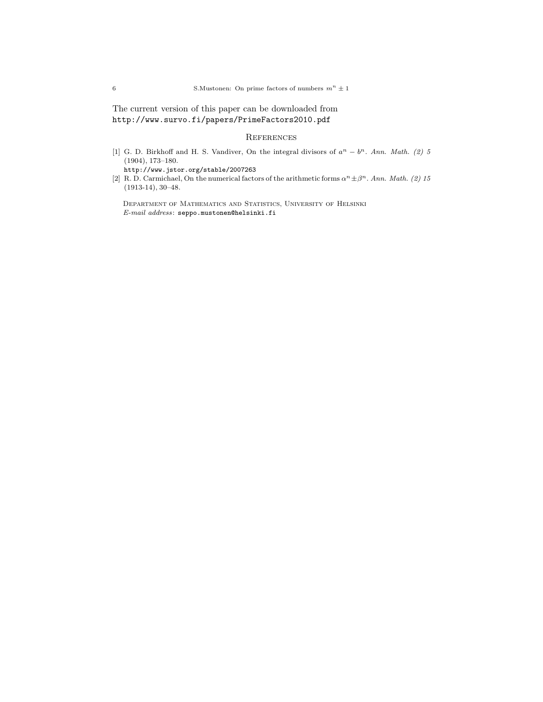The current version of this paper can be downloaded from http://www.survo.fi/papers/PrimeFactors2010.pdf

## **REFERENCES**

[1] G. D. Birkhoff and H. S. Vandiver, On the integral divisors of  $a^n - b^n$ . Ann. Math. (2) 5 (1904), 173–180.

http://www.jstor.org/stable/2007263

[2] R. D. Carmichael, On the numerical factors of the arithmetic forms  $\alpha^n \pm \beta^n$ . Ann. Math. (2) 15 (1913-14), 30–48.

Department of Mathematics and Statistics, University of Helsinki E-mail address: seppo.mustonen@helsinki.fi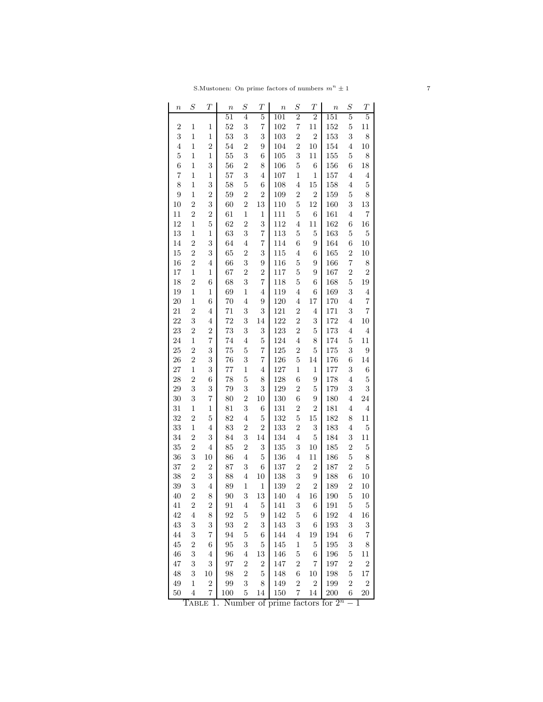| $\boldsymbol{n}$ | $\boldsymbol{S}$ | $\boldsymbol{T}$        | $\boldsymbol{n}$ | $\boldsymbol{S}$                          | $\overline{T}$          | $\it n$    | $\boldsymbol{S}$    | $\boldsymbol{T}$    | $\boldsymbol{n}$ | $\boldsymbol{S}$ | $\boldsymbol{T}$ |
|------------------|------------------|-------------------------|------------------|-------------------------------------------|-------------------------|------------|---------------------|---------------------|------------------|------------------|------------------|
|                  |                  |                         | $^{51}$          | 4                                         | $\overline{5}$          | 101        | $\overline{2}$      | $\overline{2}$      | 151              | $\overline{5}$   | 5                |
| $\overline{2}$   | $\mathbf{1}$     | 1                       | $52\,$           | 3                                         | $\overline{\mathbf{7}}$ | 102        | $\overline{7}$      | 11                  | 152              | $\overline{5}$   | 11               |
| 3                | $\mathbf{1}$     | $\,1$                   | 53               | 3                                         | 3                       | 103        | $\overline{2}$      | $\overline{2}$      | 153              | 3                | 8                |
| $\overline{4}$   | $\mathbf{1}$     | $\overline{2}$          | 54               | $\overline{2}$                            | 9                       | 104        | $\overline{2}$      | 10                  | 154              | $\overline{4}$   | 10               |
| $\overline{5}$   | $\mathbf{1}$     | $\,1$                   | 55               | 3                                         | 6                       | 105        | 3                   | 11                  | 155              | 5                | 8                |
| 6                | 1                | 3                       | 56               | $\overline{2}$                            | 8                       | 106        | $\overline{5}$      | $\,$ 6 $\,$         | 156              | 6                | 18               |
| 7                | $\mathbf{1}$     | 1                       | 57               | 3                                         | $\overline{4}$          | 107        | $\mathbf 1$         | $\mathbf 1$         | 157              | $\overline{4}$   | $\overline{4}$   |
| 8                | $\mathbf{1}$     | 3                       | 58               | $\overline{5}$                            | 6                       | 108        | $\overline{4}$      | 15                  | 158              | $\overline{4}$   | $\overline{5}$   |
| $\overline{9}$   | $\mathbf{1}$     | $\overline{2}$          | 59               | $\overline{2}$                            | $\overline{2}$          | 109        | $\overline{2}$      | $\overline{2}$      | 159              | 5                | 8                |
| 10               | $\overline{2}$   | 3                       | 60               | $\overline{2}$                            | 13                      | 110        | $\overline{5}$      | 12                  | 160              | 3                | 13               |
| 11               | $\overline{2}$   | $\overline{2}$          | 61               | $\mathbf 1$                               | $\mathbf 1$             | 111        | $\overline{5}$      | $\,$ 6 $\,$         | 161              | $\overline{4}$   | 7                |
| 12               | 1                | $\overline{5}$          | 62               | $\overline{2}$                            | 3                       | 112        | $\overline{4}$      | 11                  | 162              | 6                | 16               |
| 13               | $\mathbf{1}$     | $\,1$                   | 63               | 3                                         | $\scriptstyle{7}$       | 113        | $\overline{5}$      | $\bf 5$             | 163              | 5                | $\overline{5}$   |
| 14               | $\overline{2}$   | 3                       | 64               | $\overline{\mathbf{4}}$                   | $\scriptstyle{7}$       | 114        | 6                   | 9                   | 164              | 6                | 10               |
| 15               | $\overline{2}$   | 3                       | 65               | $\overline{2}$                            | $\,3$                   | 115        | $\overline{4}$      | 6                   | 165              | $\overline{2}$   | 10               |
| 16               | $\overline{2}$   | $\overline{4}$          | 66               | 3                                         | 9                       | 116        | $\overline{5}$      | 9                   | 166              | $\overline{7}$   | 8                |
| 17               | $\mathbf{1}$     | 1                       | 67               | $\overline{2}$                            | $\overline{2}$          | 117        | $\overline{5}$      | 9                   | 167              | $\overline{c}$   | $\overline{2}$   |
| 18               | $\overline{2}$   | 6                       | 68               | 3                                         | 7                       | 118        | 5                   | 6                   | 168              | $\mathbf 5$      | 19               |
| 19               | $\mathbf{1}$     | $\,1$                   | 69               | $\mathbf 1$                               | $\overline{4}$          | 119        | $\overline{4}$      | 6                   | 169              | 3                | $\overline{4}$   |
| 20               | $\mathbf{1}$     | 6                       | 70               | $\overline{\mathbf{4}}$                   | 9                       | 120        | $\overline{4}$      | 17                  | 170              | $\overline{4}$   | 7                |
| 21               | $\overline{2}$   | $\overline{4}$          | 71               | 3                                         | 3                       | 121        | $\overline{2}$      | $\overline{4}$      | 171              | 3                | $\overline{7}$   |
| 22               | 3                | $\overline{4}$          | 72               | 3                                         | 14                      | 122        | $\overline{2}$      | 3                   | 172              | $\overline{4}$   | 10               |
| 23               | $\overline{2}$   | $\overline{2}$          | 73               | 3                                         | 3                       | 123        | $\overline{2}$      | $\bf 5$             | 173              | 4                | $\overline{4}$   |
| 24               | $\mathbf{1}$     | $\overline{7}$          | 74               | $\overline{\mathbf{4}}$                   | $\bf 5$                 | 124        | $\overline{4}$      | 8                   | 174              | 5                | 11               |
| 25               | $\overline{2}$   | 3                       | 75               | $\overline{5}$                            | $\overline{7}$          | 125        | $\overline{2}$      | $\bf 5$             | 175              | 3                | $\boldsymbol{9}$ |
| 26               | $\overline{2}$   | 3                       | 76               | 3                                         | 7                       | 126        | $\overline{5}$      | 14                  | 176              | 6                | 14               |
| 27               | $\mathbf{1}$     | 3                       | $77\,$           | $\mathbf 1$                               | $\overline{4}$          | 127        | $\mathbf 1$         | $\,1$               | 177              | 3                | $\,$ 6 $\,$      |
| 28               | $\overline{2}$   | 6                       | 78               | $\overline{5}$                            | 8                       | 128        | 6                   | 9                   | 178              | $\overline{4}$   | $\overline{5}$   |
| 29               | 3                | 3                       | 79               | 3                                         | 3                       | 129        | $\overline{c}$      | $\bf 5$             | 179              | 3                | 3                |
|                  | 3                | $\overline{7}$          |                  |                                           |                         | 130        |                     |                     |                  |                  |                  |
| 30               | $\mathbf{1}$     |                         | 80               | $\overline{2}$<br>3                       | 10                      |            | 6<br>$\overline{2}$ | 9<br>$\overline{2}$ | 180              | $\overline{4}$   | 24               |
| 31               | $\overline{2}$   | $\,1$<br>$\overline{5}$ | 81               |                                           | 6<br>$\bf 5$            | 131<br>132 | $\overline{5}$      |                     | 181              | $\overline{4}$   | $\overline{4}$   |
| 32               |                  |                         | 82               | $\overline{\mathbf{4}}$<br>$\overline{2}$ | $\overline{2}$          |            | $\overline{2}$      | 15<br>3             | 182              | 8                | 11               |
| 33               | $\mathbf{1}$     | $\overline{4}$          | 83               |                                           |                         | 133        |                     |                     | 183              | 4                | $\overline{5}$   |
| 34               | $\overline{2}$   | 3                       | 84               | 3                                         | 14                      | 134        | $\overline{4}$      | $\bf 5$             | 184              | 3                | 11               |
| 35               | $\overline{2}$   | $\overline{4}$          | 85               | $\overline{2}$                            | 3                       | 135        | 3                   | 10                  | 185              | $\overline{2}$   | $\overline{5}$   |
| 36               | 3                | 10                      | 86               | $\overline{4}$                            | $\bf 5$                 | 136        | $\overline{4}$      | $11\,$              | 186              | 5                | 8                |
| 37               | $\overline{2}$   | $\overline{2}$          | 87               | 3                                         | $\,$ 6 $\,$             | 137        | $\overline{2}$      | $\sqrt{2}$          | 187              | $\overline{c}$   | $\overline{5}$   |
| 38               | $\overline{2}$   | 3                       | 88               | $\overline{\mathbf{4}}$                   | 10                      | 138        | 3                   | 9                   | 188              | 6                | 10               |
| 39               | 3                | $\overline{4}$          | 89               | $\mathbf{1}$                              | $\mathbf 1$             | 139        | $\overline{2}$      | $\boldsymbol{2}$    | 189              | $\overline{2}$   | 10               |
| 40               | $\overline{2}$   | 8                       | 90               | 3                                         | 13                      | 140        | 4                   | 16                  | 190              | 5                | 10               |
| 41               | $\boldsymbol{2}$ | $\overline{2}$          | 91               | $\,4\,$                                   | $\overline{5}$          | 141        | 3                   | 6                   | 191              | $\overline{5}$   | 5                |
| 42               | $\overline{4}$   | 8                       | 92               | $\overline{5}$                            | 9                       | 142        | $\overline{5}$      | $\sqrt{6}$          | 192              | $\overline{4}$   | 16               |
| 43               | 3                | 3                       | 93               | $\overline{2}$                            | 3                       | 143        | 3                   | $\sqrt{6}$          | 193              | 3                | 3                |
| 44               | 3                | $\overline{7}$          | 94               | $\overline{5}$                            | 6                       | 144        | $\overline{4}$      | $19\,$              | 194              | $\boldsymbol{6}$ | 7                |
| 45               | $\overline{2}$   | $\,$ 6 $\,$             | $\rm 95$         | 3                                         | $\bf 5$                 | 145        | $\mathbf{1}$        | $\bf 5$             | 195              | 3                | 8                |
| 46               | 3                | $\overline{\mathbf{4}}$ | 96               | $\,4\,$                                   | 13                      | 146        | $\overline{5}$      | $\boldsymbol{6}$    | 196              | 5                | 11               |
| 47               | 3                | 3                       | 97               | $\boldsymbol{2}$                          | $\boldsymbol{2}$        | 147        | $\overline{c}$      | $\scriptstyle{7}$   | 197              | $\overline{c}$   | $\boldsymbol{2}$ |
| 48               | 3                | 10                      | 98               | $\overline{2}$                            | $\bf 5$                 | 148        | $\;6\;$             | 10                  | 198              | 5                | 17               |
| 49               | $\mathbf 1$      | $\overline{2}$          | 99               | 3                                         | 8                       | 149        | $\overline{2}$      | $\sqrt{2}$          | 199              | $\overline{2}$   | $\boldsymbol{2}$ |
| 50               | $\overline{4}$   | $\overline{7}$          | 100              | 5                                         | 14                      | 150        | $\overline{7}$      | $14\,$              | 200              | 6                | <b>20</b>        |

|  | TABLE 1. Number of prime factors for $2^n - 1$ |  |
|--|------------------------------------------------|--|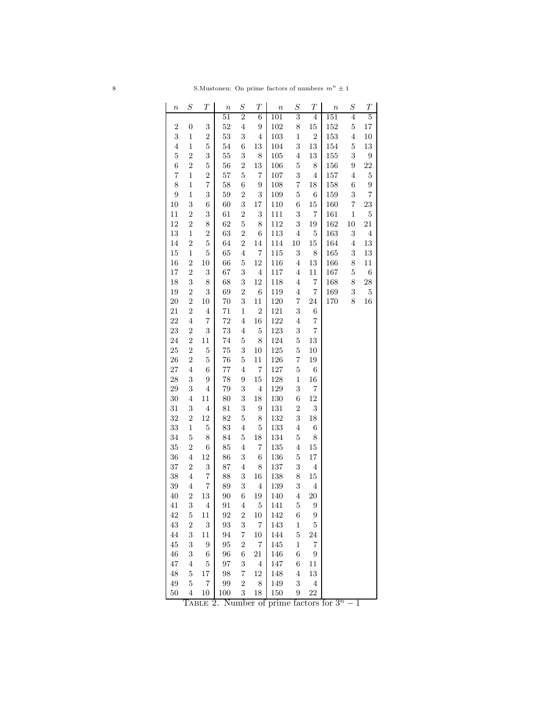| $\it n$          | $\, S \,$        | Т                        | $\boldsymbol{n}$  | $\, S \,$               | $\boldsymbol{T}$        | $\boldsymbol{n}$ | $\cal S$                | $\boldsymbol{T}$        | $\boldsymbol{n}$ | $\boldsymbol{S}$        | $\boldsymbol{T}$ |
|------------------|------------------|--------------------------|-------------------|-------------------------|-------------------------|------------------|-------------------------|-------------------------|------------------|-------------------------|------------------|
|                  |                  |                          | 51                | $\overline{2}$          | 6                       | 101              | $\overline{3}$          | 4                       | 151              | 4                       | $\overline{5}$   |
| $\overline{2}$   | $\boldsymbol{0}$ | $\boldsymbol{3}$         | $52\,$            | $\overline{4}$          | 9                       | 102              | 8                       | 15                      | $152\,$          | $\overline{5}$          | $17\,$           |
| 3                | $\mathbf{1}$     | $\overline{2}$           | $53\,$            | 3                       | $\overline{4}$          | 103              | $\mathbf{1}$            | $\overline{2}$          | 153              | $\bf 4$                 | 10               |
| $\overline{4}$   | $\mathbf{1}$     | $\overline{5}$           | $54\,$            | $\boldsymbol{6}$        | 13                      | 104              | 3                       | $13\,$                  | $154\,$          | $\overline{5}$          | $13\,$           |
| $\overline{5}$   | $\overline{2}$   | 3                        | $55\,$            | 3                       | 8                       | 105              | $\overline{4}$          | 13                      | 155              | $\sqrt{3}$              | $\boldsymbol{9}$ |
| $\boldsymbol{6}$ | $\overline{2}$   | $\overline{5}$           | 56                | $\overline{2}$          | 13                      | 106              | $\overline{5}$          | 8                       | 156              | $\boldsymbol{9}$        | $22\,$           |
| $\overline{7}$   | $\mathbf 1$      | $\overline{c}$           | $57\,$            | $\mathbf 5$             | 7                       | 107              | 3                       | $\,4\,$                 | $157\,$          | $\overline{4}$          | $\bf 5$          |
| 8                | $\mathbf{1}$     | $\overline{7}$           | $58\,$            | 6                       | 9                       | 108              | $\overline{\mathbf{7}}$ | 18                      | 158              | $\,6$                   | $\boldsymbol{9}$ |
| $\overline{9}$   | $\,1$            | 3                        | $59\,$            | $\overline{2}$          | 3                       | 109              | $\overline{5}$          | $\,6$                   | 159              | 3                       | $\,7$            |
| 10               | 3                | $\sqrt{6}$               | 60                | 3                       | $17\,$                  | 110              | 6                       | 15                      | 160              | $\overline{\mathbf{7}}$ | $23\,$           |
| 11               | $\sqrt{2}$       | $\sqrt{3}$               | 61                | $\overline{2}$          | 3                       | 111              | 3                       | $\overline{7}$          | $161\,$          | $\,1$                   | $\bf 5$          |
| 12               | $\overline{2}$   | 8                        | 62                | $\bf 5$                 | 8                       | 112              | 3                       | 19                      | 162              | 10                      | $21\,$           |
| 13               | $\mathbf 1$      | $\overline{2}$           | $63\,$            | $\overline{2}$          | 6                       | 113              | $\,4\,$                 | $\overline{5}$          | 163              | $\sqrt{3}$              | $\,4\,$          |
| 14               | $\overline{2}$   | $\overline{5}$           | $64\,$            | $\overline{2}$          | 14                      | 114              | $10\,$                  | 15                      | 164              | $\overline{4}$          | $13\,$           |
| 15               | $\,1$            | $\overline{5}$           | 65                | $\overline{4}$          | $\overline{7}$          | 115              | 3                       | 8                       | 165              | $\,3$                   | 13               |
| 16               | $\overline{2}$   | 10                       | 66                | $\bf 5$                 | 12                      | 116              | $\overline{4}$          | 13                      | 166              | 8                       | $11\,$           |
| 17               | $\boldsymbol{2}$ | $\sqrt{3}$               | 67                | 3                       | $\,4\,$                 | 117              | $\,4\,$                 | 11                      | $167\,$          | $\mathbf 5$             | $\,6$            |
| 18               | 3                | $\,$ $\,$                | 68                | 3                       | 12                      | 118              | $\overline{4}$          | 7                       | 168              | 8                       | 28               |
| 19               | $\overline{2}$   | 3                        | 69                | $\overline{2}$          | $\boldsymbol{6}$        | 119              | $\overline{4}$          | $\overline{\mathbf{7}}$ | $169\,$          | $\,3$                   | $\bf 5$          |
| $20\,$           | $\overline{2}$   | $10\,$                   | 70                | 3                       | 11                      | $120\,$          | 7                       | $24\,$                  | 170              | 8                       | 16               |
| 21               | $\overline{2}$   | $\,4\,$                  | $71\,$            | $\,1$                   | $\overline{2}$          | 121              | 3                       | $\,$ 6 $\,$             |                  |                         |                  |
| 22               | $\,4\,$          | $\overline{\mathbf{7}}$  | 72                | $\overline{4}$          | 16                      | 122              | $\overline{4}$          | $\overline{\mathbf{7}}$ |                  |                         |                  |
| 23               | $\boldsymbol{2}$ | $\sqrt{3}$               | 73                | $\overline{4}$          | $\bf 5$                 | 123              | 3                       | $\overline{7}$          |                  |                         |                  |
| 24               | $\overline{2}$   | 11                       | $74\,$            | $\overline{5}$          | 8                       | 124              | $\overline{5}$          | $13\,$                  |                  |                         |                  |
| 25               | $\overline{2}$   | $\overline{5}$           | $75\,$            | 3                       | 10                      | $125\,$          | $\overline{5}$          | $10\,$                  |                  |                         |                  |
| 26               | $\overline{2}$   | $\bf 5$                  | 76                | $\bf 5$                 | 11                      | 126              | $\overline{7}$          | 19                      |                  |                         |                  |
| $27\,$           | $\overline{4}$   | $\,6$                    | $77\,$            | $\overline{4}$          | $\overline{\mathbf{7}}$ | 127              | $\overline{5}$          | $\,6$                   |                  |                         |                  |
| 28               | $\sqrt{3}$       | $\boldsymbol{9}$         | 78                | 9                       | $15\,$                  | 128              | $\mathbf 1$             | 16                      |                  |                         |                  |
| 29               | 3                | $\overline{4}$           | $79\,$            | 3                       | $\overline{4}$          | 129              | 3                       | $\overline{7}$          |                  |                         |                  |
| 30               | $\,4\,$          | 11                       | 80                | 3                       | 18                      | 130              | $\overline{6}$          | $12\,$                  |                  |                         |                  |
| 31               | $\sqrt{3}$       | $\,4\,$                  | 81                | 3                       | 9                       | 131              | $\overline{2}$          | 3                       |                  |                         |                  |
| 32               | $\overline{2}$   | 12                       | 82                | $\bf 5$                 | 8                       | 132              | 3                       | $18\,$                  |                  |                         |                  |
| 33               | $\,1$            | $\overline{5}$           | 83                | $\overline{4}$          | $\bf 5$                 | 133              | $\overline{4}$          | $\,6$                   |                  |                         |                  |
| 34               | $\overline{5}$   | $8\,$                    | 84                | $\bf 5$                 | $18\,$                  | 134              | $\overline{5}$          | 8                       |                  |                         |                  |
| 35               | $\overline{2}$   | $\;6\;$                  | 85                | $\overline{4}$          | 7                       | $135\,$          | $\overline{4}$          | 15                      |                  |                         |                  |
| 36               | $\overline{4}$   | $12\,$                   | $86\,$            | 3                       | 6                       | 136              | $\overline{5}$          | $17\,$                  |                  |                         |                  |
| 37               | $\overline{2}$   | $\sqrt{3}$               | $87\,$            | $\overline{4}$          | 8                       | $137\,$          | 3                       | $\,4\,$                 |                  |                         |                  |
| 38               | $\,4\,$          | $\overline{7}$           | 88                | 3                       | 16                      | 138              | 8                       | $15\,$                  |                  |                         |                  |
| 39               | $\,4\,$          | $\overline{\mathcal{C}}$ | 89                | 3                       | $\,4\,$                 | 139              | 3                       | $\,4\,$                 |                  |                         |                  |
| $40\,$           | $\overline{2}$   | $13\,$                   | 90                | 6                       | $19\,$                  | 140              | $\overline{4}$          | 20                      |                  |                         |                  |
| $41\,$           | $\boldsymbol{3}$ | $\overline{4}$           | 91                | $\overline{4}$          | $\bf 5$                 | 141              | $\bf 5$                 | $\boldsymbol{9}$        |                  |                         |                  |
| 42               | $\bf 5$          | $11\,$                   | $\boldsymbol{92}$ | $\boldsymbol{2}$        | $10\,$                  | 142              | $\,6$                   | $\boldsymbol{9}$        |                  |                         |                  |
| 43               | $\boldsymbol{2}$ | $\sqrt{3}$               | $\boldsymbol{93}$ | 3                       | $\overline{7}$          | 143              | $\,1$                   | $\bf 5$                 |                  |                         |                  |
| 44               | 3                | 11                       | 94                | $\overline{\mathbf{7}}$ | $10\,$                  | 144              | $\overline{5}$          | $24\,$                  |                  |                         |                  |
| 45               | $\sqrt{3}$       | $\boldsymbol{9}$         | 95                | $\overline{2}$          | $\overline{7}$          | 145              | $\mathbf 1$             | $\overline{7}$          |                  |                         |                  |
| 46               | $\sqrt{3}$       | $\,6\,$                  | 96                | $\,$ 6 $\,$             | 21                      | 146              | $\,6$                   | $\boldsymbol{9}$        |                  |                         |                  |
| $47\,$           | $\,4\,$          | $\bf 5$                  | $\rm 97$          | 3                       | $\,4\,$                 | 147              | $\;6\;$                 | 11                      |                  |                         |                  |
| 48               | $\overline{5}$   | $17\,$                   | 98                | $\,7$                   | 12                      | 148              | $\,4\,$                 | 13                      |                  |                         |                  |
| 49               | $\bf 5$          | $\scriptstyle{7}$        | 99                | $\sqrt{2}$              | 8                       | 149              | $\sqrt{3}$              | $\overline{4}$          |                  |                         |                  |
| 50               | $\overline{4}$   | 10                       | 100               | 3                       | 18                      | 150              | 9                       | 22                      |                  |                         |                  |

TABLE 2. Number of prime factors for  $3<sup>n</sup> - 1$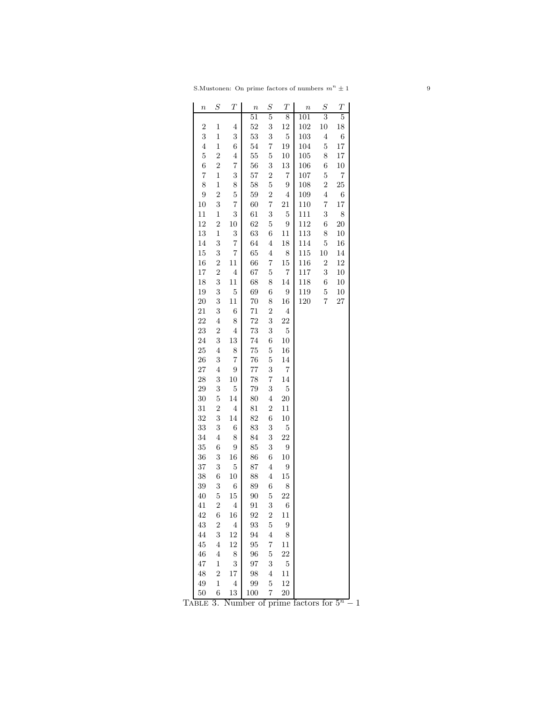| $\it n$        | $\scriptstyle S$ | $\boldsymbol{T}$ | $\boldsymbol{n}$ | $\boldsymbol{S}$ | $\overline{T}$ | $\boldsymbol{n}$ | $\boldsymbol{S}$ | $\boldsymbol{T}$ |
|----------------|------------------|------------------|------------------|------------------|----------------|------------------|------------------|------------------|
|                |                  |                  | 51               | 5                | 8              | 101              | 3                | 5                |
| $\overline{2}$ | $\mathbf 1$      | 4                | 52               | 3                | 12             | 102              | 10               | 18               |
| 3              | $\mathbf{1}$     | 3                | 53               | 3                | $\overline{5}$ | 103              | $\overline{4}$   | 6                |
| $\overline{4}$ | $\mathbf{1}$     | 6                | $54\,$           | 7                | 19             | 104              | $\overline{5}$   | 17               |
| $\overline{5}$ | $\overline{2}$   | 4                | 55               | $\overline{5}$   | 10             | 105              | 8                | 17               |
| 6              | $\overline{2}$   | 7                | 56               | 3                | 13             | 106              | 6                | $10\,$           |
| 7              | $\mathbf 1$      | 3                | 57               | $\overline{2}$   | 7              | 107              | $\overline{5}$   | 7                |
| 8              | $\mathbf 1$      | 8                | 58               | $\overline{5}$   | 9              | 108              | $\overline{2}$   | 25               |
| 9              | $\overline{2}$   | $\overline{5}$   | 59               | $\overline{2}$   | $\,4\,$        | 109              | $\overline{4}$   | $\;6\;$          |
| 10             | 3                | 7                | 60               | $\overline{7}$   | 21             | 110              | 7                | 17               |
| 11             | 1                | 3                | 61               | 3                | $\overline{5}$ | 111              | 3                | 8                |
| 12             | $\overline{2}$   | 10               | 62               | 5                | 9              | 112              | 6                | <b>20</b>        |
| 13             | $\mathbf 1$      | 3                | 63               | $\overline{6}$   | 11             | 113              | 8                | $10\,$           |
| 14             | 3                | 7                | 64               | $\overline{4}$   | 18             | 114              | $\overline{5}$   | 16               |
| 15             | 3                | 7                | 65               | $\overline{4}$   | 8              | 115              | 10               | 14               |
| 16             | $\overline{2}$   | 11               | 66               | $\overline{7}$   | 15             | 116              | $\overline{2}$   | 12               |
| 17             | $\overline{2}$   | $\overline{4}$   | 67               | $\overline{5}$   | 7              | 117              | 3                | $10\,$           |
| 18             | 3                | 11               | 68               | 8                | 14             | 118              | 6                | 10               |
| 19             | 3                | $\overline{5}$   | 69               | 6                | $\overline{9}$ | 119              | 5                | 10               |
| 20             | 3                | 11               | 70               | 8                | 16             | 120              | $\overline{7}$   | 27               |
| 21             | 3                | $\;6\;$          | 71               | $\overline{2}$   | $\overline{4}$ |                  |                  |                  |
| 22             | $\overline{4}$   | 8                | 72               | 3                | 22             |                  |                  |                  |
| 23             | $\overline{2}$   | $\overline{4}$   | 73               | 3                | $\overline{5}$ |                  |                  |                  |
| 24             | 3                | 13               | $74\,$           | 6                | 10             |                  |                  |                  |
| 25             | $\overline{4}$   | 8                | 75               | $\overline{5}$   | 16             |                  |                  |                  |
| 26             | 3                | 7                | 76               | $\overline{5}$   | 14             |                  |                  |                  |
| 27             | $\overline{4}$   | 9                | 77               | 3                | 7              |                  |                  |                  |
| 28             | 3                | 10               | 78               | 7                | 14             |                  |                  |                  |
| 29             | 3                | $\mathbf 5$      | 79               | 3                | $\overline{5}$ |                  |                  |                  |
| 30             | 5                | 14               | 80               | $\overline{4}$   | 20             |                  |                  |                  |
| 31             | $\overline{2}$   | $\,4\,$          | 81               | $\overline{2}$   | 11             |                  |                  |                  |
| 32             | 3                | 14               | 82               | 6                | 10             |                  |                  |                  |
| 33             | 3                | $\;6\;$          | 83               | 3                | $\overline{5}$ |                  |                  |                  |
| 34             | $\overline{4}$   | 8                | 84               | 3                | 22             |                  |                  |                  |
| 35             | 6                | 9                | 85               | 3                | 9              |                  |                  |                  |
| 36             | 3                | 16               | 86               | $\sqrt{6}$       | 10             |                  |                  |                  |
| 37             | 3                | $\overline{5}$   | 87               | $\overline{4}$   | 9              |                  |                  |                  |
| 38             | 6                | 10               | 88               | $\overline{4}$   | 15             |                  |                  |                  |
| 39             | 3                | 6                | 89               | $\overline{6}$   | 8              |                  |                  |                  |
| 40             | 5                | 15               | 90               | 5                | 22             |                  |                  |                  |
| 41             | $\overline{c}$   | $\overline{4}$   | 91               | 3                | 6              |                  |                  |                  |
| 42             | 6                | 16               | 92               | $\overline{2}$   | 11             |                  |                  |                  |
| 43             | $\overline{2}$   | $\,4\,$          | 93               | $\overline{5}$   | 9              |                  |                  |                  |
| 44             | 3                | 12               | 94               | $\overline{4}$   | 8              |                  |                  |                  |
| 45             | $\overline{4}$   | 12               | 95               | 7                | $^{11}$        |                  |                  |                  |
| 46             | 4                | 8                | 96               | $\overline{5}$   | 22             |                  |                  |                  |
| 47             | $\mathbf{1}$     | 3                | 97               | 3                | $\overline{5}$ |                  |                  |                  |
| 48             | $\overline{2}$   | 17               | 98               | $\overline{4}$   | 11             |                  |                  |                  |
| 49             | $\,1$            | $\overline{4}$   | 99               | $\overline{5}$   | 12             |                  |                  |                  |
| 50             | 6                | 13               | 100              | 7                | 20             |                  |                  |                  |

TABLE 3. Number of prime factors for  $5<sup>n</sup> - 1$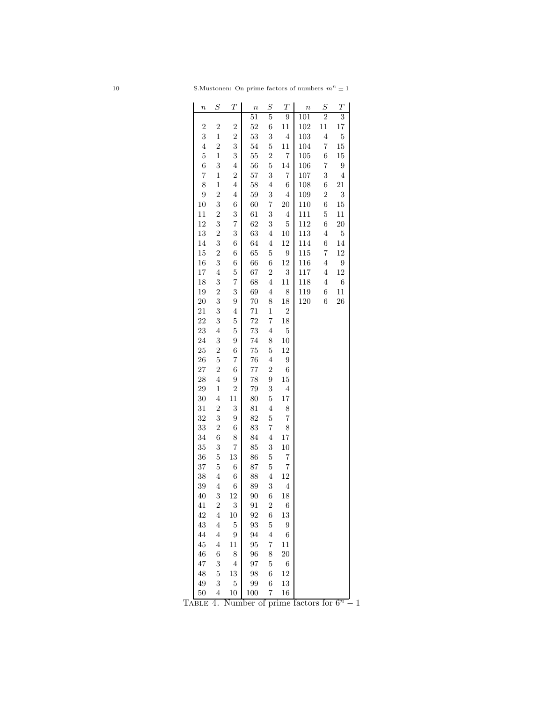| 10 | S. Mustonen: On prime factors of numbers $m^n \pm 1$ |  |  |  |
|----|------------------------------------------------------|--|--|--|
|    |                                                      |  |  |  |

| $\it n$        | $\scriptstyle S$        | $\overline{T}$          | $\boldsymbol{n}$ | $\scriptstyle S$ | $\overline{T}$   | $\boldsymbol{n}$ | $\scriptstyle S$ | $\overline{T}$          |
|----------------|-------------------------|-------------------------|------------------|------------------|------------------|------------------|------------------|-------------------------|
|                |                         |                         | 51               | 5                | 9                | 101              | 2                | 3                       |
| $\overline{2}$ | $\overline{2}$          | $\overline{2}$          | 52               | 6                | 11               | 102              | 11               | 17                      |
| 3              | $\mathbf 1$             | $\overline{2}$          | 53               | 3                | $\overline{4}$   | 103              | $\overline{4}$   | $\overline{5}$          |
| $\overline{4}$ | $\overline{2}$          | 3                       | $54\,$           | $\overline{5}$   | 11               | 104              | $\overline{7}$   | $15\,$                  |
| $\overline{5}$ | $\mathbf 1$             | 3                       | 55               | $\overline{2}$   | $\overline{7}$   | 105              | 6                | 15                      |
| 6              | 3                       | $\overline{4}$          | 56               | $\overline{5}$   | 14               | 106              | 7                | 9                       |
| 7              | $\mathbf 1$             | $\overline{c}$          | 57               | 3                | $\overline{7}$   | 107              | 3                | $\overline{\mathbf{4}}$ |
| 8              | $\mathbf{1}$            | $\overline{\mathbf{4}}$ | 58               | $\overline{4}$   | $\sqrt{6}$       | 108              | 6                | 21                      |
| 9              | $\overline{2}$          | $\overline{\mathbf{4}}$ | 59               | 3                | $\overline{4}$   | 109              | $\overline{2}$   | 3                       |
| 10             | 3                       | 6                       | 60               | $\overline{7}$   | 20               | 110              | 6                | 15                      |
| 11             | $\overline{2}$          | 3                       | 61               | 3                | $\overline{4}$   | 111              | $\overline{5}$   | 11                      |
| 12             | 3                       | 7                       | 62               | 3                | $\overline{5}$   | 112              | 6                | $20\,$                  |
| 13             | $\overline{2}$          | 3                       | 63               | $\overline{4}$   | 10               | 113              | $\overline{4}$   | $\overline{5}$          |
| 14             | 3                       | 6                       | 64               | $\overline{4}$   | 12               | 114              | 6                | 14                      |
| 15             | $\overline{2}$          | 6                       | 65               | $\overline{5}$   | 9                | 115              | 7                | 12                      |
| 16             | 3                       | 6                       | 66               | $\overline{6}$   | 12               | 116              | $\overline{4}$   | 9                       |
| 17             | $\overline{4}$          | $\overline{5}$          | 67               | $\overline{2}$   | 3                | 117              | $\overline{4}$   | 12                      |
| 18             | 3                       | 7                       | 68               | $\overline{4}$   | 11               | 118              | $\overline{4}$   | 6                       |
| 19             | $\overline{2}$          | 3                       | 69               | $\overline{4}$   | 8                | 119              | 6                | 11                      |
| 20             | 3                       | 9                       | 70               | 8                | 18               | 120              | 6                | 26                      |
| 21             | 3                       | $\overline{4}$          | 71               | $\mathbf{1}$     | $\overline{2}$   |                  |                  |                         |
|                |                         |                         | 72               |                  |                  |                  |                  |                         |
| 22             | 3                       | $\overline{5}$          |                  | $\overline{7}$   | $18\,$           |                  |                  |                         |
| 23             | $\overline{4}$          | $\overline{5}$          | 73               | $\overline{4}$   | $\mathbf 5$      |                  |                  |                         |
| 24             | 3                       | 9                       | 74               | 8                | $10\,$           |                  |                  |                         |
| 25             | $\overline{2}$          | 6                       | 75               | $\overline{5}$   | 12               |                  |                  |                         |
| 26             | $\overline{5}$          | 7                       | 76               | $\overline{4}$   | $\boldsymbol{9}$ |                  |                  |                         |
| 27             | $\overline{2}$          | 6                       | 77               | $\overline{2}$   | $\sqrt{6}$       |                  |                  |                         |
| 28             | $\overline{4}$          | 9                       | 78               | 9                | $15\,$           |                  |                  |                         |
| 29             | $\mathbf 1$             | $\overline{2}$          | 79               | 3                | $\overline{4}$   |                  |                  |                         |
| 30             | $\overline{4}$          | 11                      | 80               | $\overline{5}$   | 17               |                  |                  |                         |
| 31             | $\overline{2}$          | 3                       | 81               | $\overline{4}$   | 8                |                  |                  |                         |
| 32             | 3                       | 9                       | 82               | $\overline{5}$   | 7                |                  |                  |                         |
| 33             | $\overline{2}$          | 6                       | 83               | $\overline{7}$   | 8                |                  |                  |                         |
| 34             | 6                       | 8                       | 84               | $\overline{4}$   | 17               |                  |                  |                         |
| 35             | 3                       | 7                       | 85               | 3                | $10\,$           |                  |                  |                         |
| 36             | 5                       | 13                      | 86               | 5                | 7                |                  |                  |                         |
| 37             | $\overline{5}$          | 6                       | 87               | $\overline{5}$   | 7                |                  |                  |                         |
| 38             | $\overline{4}$          | 6                       | 88               | $\overline{4}$   | 12               |                  |                  |                         |
| 39             | $\overline{4}$          | 6                       | 89               | 3                | $\overline{4}$   |                  |                  |                         |
| 40             | 3                       | 12                      | 90               | 6                | 18               |                  |                  |                         |
| 41             | $\overline{c}$          | 3                       | 91               | $\overline{c}$   | 6                |                  |                  |                         |
| 42             | 4                       | 10                      | 92               | $\sqrt{6}$       | 13               |                  |                  |                         |
| $43\,$         | $\overline{4}$          | $\bf 5$                 | 93               | $\overline{5}$   | 9                |                  |                  |                         |
| 44             | $\overline{\mathbf{4}}$ | $\boldsymbol{9}$        | 94               | $\overline{4}$   | $\,6$            |                  |                  |                         |
| 45             | $\overline{4}$          | 11                      | 95               | 7                | 11               |                  |                  |                         |
| 46             | 6                       | 8                       | 96               | 8                | 20               |                  |                  |                         |
| 47             | 3                       | $\,4\,$                 | 97               | $\overline{5}$   | $\;6\;$          |                  |                  |                         |
| 48             | $\mathbf 5$             | 13                      | 98               | 6                | 12               |                  |                  |                         |
| 49             | 3                       | $\mathbf 5$             | 99               | $\sqrt{6}$       | 13               |                  |                  |                         |
| 50             | 4                       | 10                      | 100              | $\overline{7}$   | 16               |                  |                  |                         |

TABLE 4. Number of prime factors for  $6^n - 1$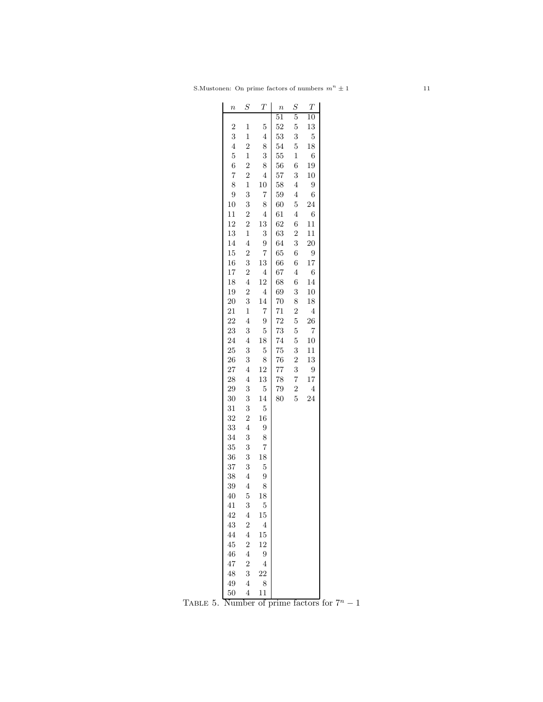| $\boldsymbol{n}$ | $\scriptstyle S$ | Т              | $\boldsymbol{n}$ | $\boldsymbol{S}$ | $\boldsymbol{T}$ |  |
|------------------|------------------|----------------|------------------|------------------|------------------|--|
|                  |                  |                | 51               | $\overline{5}$   | 10               |  |
| $\overline{2}$   | 1                | 5              | 52               | $\overline{5}$   | 13               |  |
| 3                | $\mathbf{1}$     | $\overline{4}$ | 53               | 3                | $\overline{5}$   |  |
| $\overline{4}$   | $\overline{2}$   | 8              | 54               | $\overline{5}$   | 18               |  |
| $\overline{5}$   | $\mathbf{1}$     | 3              | 55               | $\mathbf{1}$     | 6                |  |
| 6                | $\overline{2}$   | 8              | 56               | 6                | 19               |  |
| $\overline{7}$   | $\overline{2}$   | $\overline{4}$ | 57               | 3                | 10               |  |
| 8                | $\mathbf{1}$     | 10             | 58               | $\overline{4}$   | 9                |  |
| 9                | 3                | $\overline{7}$ | 59               | $\overline{4}$   | $\boldsymbol{6}$ |  |
| 10               | 3                | 8              | 60               | $\overline{5}$   | 24               |  |
| 11               | $\overline{2}$   | $\overline{4}$ | 61               | $\overline{4}$   | $\boldsymbol{6}$ |  |
| 12               | $\overline{2}$   | 13             | 62               | 6                | 11               |  |
| 13               | $\mathbf 1$      | 3              | 63               | $\overline{2}$   | 11               |  |
| 14               | $\overline{4}$   | 9              | 64               | 3                | $20\,$           |  |
| 15               | $\overline{2}$   | 7              | 65               | 6                | 9                |  |
| 16               | 3                | 13             | 66               | 6                | 17               |  |
| 17               | $\overline{2}$   | $\overline{4}$ | 67               | $\overline{4}$   | 6                |  |
| 18               | 4                | 12             | 68               | 6                | 14               |  |
| 19               | $\overline{2}$   | $\overline{4}$ | 69               | 3                | 10               |  |
| 20               | 3                | 14             | 70               | 8                | 18               |  |
| 21               | $\mathbf{1}$     | $\overline{7}$ | 71               | $\overline{2}$   | $\overline{4}$   |  |
| 22               | $\overline{4}$   |                | $\overline{72}$  | 5                | 26               |  |
|                  |                  | 9              |                  |                  |                  |  |
| 23               | 3                | 5              | 73               | 5                | 7                |  |
| 24               | $\overline{4}$   | 18             | 74               | $\mathbf 5$      | 10               |  |
| 25               | 3                | $\overline{5}$ | 75               | 3                | 11               |  |
| 26               | 3                | 8              | 76               | $\overline{2}$   | 13               |  |
| 27               | $\overline{4}$   | 12             | 77               | 3                | 9                |  |
| 28               | $\overline{4}$   | 13             | 78               | 7                | 17               |  |
| 29               | 3                | $\overline{5}$ | 79               | $\overline{2}$   | $\overline{4}$   |  |
| 30               | 3                | 14             | 80               | 5                | 24               |  |
| 31               | 3                | $\overline{5}$ |                  |                  |                  |  |
| 32               | $\overline{2}$   | 16             |                  |                  |                  |  |
| 33               | $\overline{4}$   | 9              |                  |                  |                  |  |
| 34               | 3                | 8              |                  |                  |                  |  |
| 35               | 3                | 7              |                  |                  |                  |  |
| 36               | 3                | 18             |                  |                  |                  |  |
| 37               | 3                | $\overline{5}$ |                  |                  |                  |  |
| 38               | $\overline{4}$   | 9              |                  |                  |                  |  |
| 39               | $\overline{4}$   | 8              |                  |                  |                  |  |
| 40               | 5                | 18             |                  |                  |                  |  |
| 41               | 3                | 5              |                  |                  |                  |  |
| 42               | $\overline{4}$   | 15             |                  |                  |                  |  |
| 43               | $\overline{2}$   | $\overline{4}$ |                  |                  |                  |  |
| 44               | $\overline{4}$   | 15             |                  |                  |                  |  |
| 45               | $\overline{2}$   | 12             |                  |                  |                  |  |
| 46               | $\overline{4}$   | 9              |                  |                  |                  |  |
| 47               | $\overline{2}$   | $\overline{4}$ |                  |                  |                  |  |
| 48               | 3                | 22             |                  |                  |                  |  |
| 49               | $\overline{4}$   | 8              |                  |                  |                  |  |
| 50               | 4                | 11             |                  |                  |                  |  |
|                  |                  |                |                  |                  |                  |  |

TABLE 5. Number of prime factors for  $7^n - 1$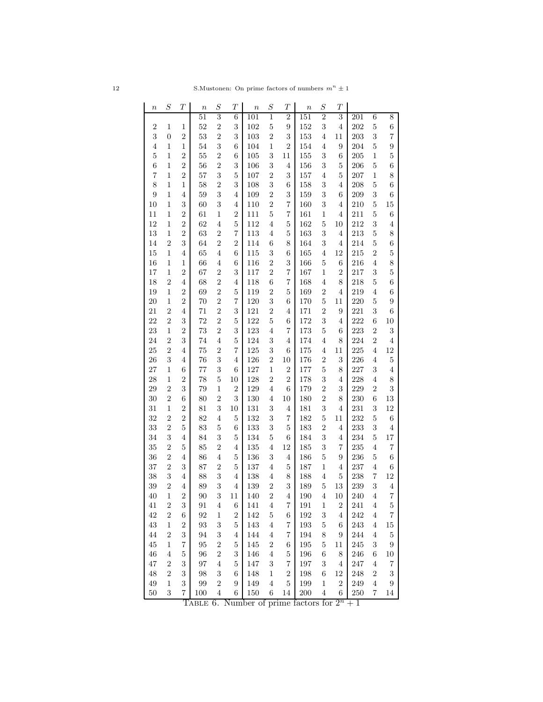| $\it n$          | $\cal S$         | $\boldsymbol{T}$ | $\boldsymbol{n}$ | $\boldsymbol{S}$        | $\boldsymbol{T}$        | $\it n$ | $\boldsymbol{S}$        | $\boldsymbol{T}$ | $\boldsymbol{n}$ | $\cal S$       | $\boldsymbol{T}$ |         |                |                         |
|------------------|------------------|------------------|------------------|-------------------------|-------------------------|---------|-------------------------|------------------|------------------|----------------|------------------|---------|----------------|-------------------------|
|                  |                  |                  | 51               | $\overline{3}$          | 6                       | 101     | $\mathbf{1}$            | $\overline{2}$   | 151              | $\overline{2}$ | 3                | 201     | $\,6$          | 8                       |
| $\boldsymbol{2}$ | $\mathbf{1}$     | $\mathbf{1}$     | 52               | $\overline{2}$          | 3                       | 102     | $\bf 5$                 | $\boldsymbol{9}$ | 152              | 3              | $\overline{4}$   | 202     | $\bf 5$        | $\;6\;$                 |
| 3                | $\overline{0}$   | $\overline{2}$   | 53               | $\overline{2}$          | 3                       | 103     | $\overline{2}$          | $\sqrt{3}$       | 153              | $\overline{4}$ | 11               | 203     | 3              | 7                       |
| 4                | $\mathbf{1}$     | $\mathbf{1}$     | 54               | 3                       | 6                       | 104     | $\,1$                   | $\boldsymbol{2}$ | 154              | $\overline{4}$ | 9                | 204     | $\overline{5}$ | $\boldsymbol{9}$        |
| $\overline{5}$   | 1                | $\boldsymbol{2}$ | 55               | $\overline{c}$          | 6                       | 105     | 3                       | 11               | 155              | 3              | 6                | 205     | 1              | $\overline{5}$          |
| $\;6\;$          | $\,1$            | $\overline{2}$   | 56               | $\overline{2}$          | 3                       | 106     | 3                       | 4                | 156              | 3              | 5                | 206     | $\bf 5$        | 6                       |
| $\overline{7}$   | $\mathbf{1}$     | $\overline{2}$   | 57               | 3                       | $\bf 5$                 | 107     | $\overline{2}$          | 3                | 157              | $\overline{4}$ | $\bf 5$          | 207     | $\,1$          | 8                       |
| 8                | $\mathbf{1}$     | $\mathbf{1}$     | 58               | $\overline{2}$          | 3                       | 108     | $\boldsymbol{3}$        | 6                | 158              | 3              | $\overline{4}$   | 208     | 5              | 6                       |
| 9                | $\,1$            | $\overline{4}$   | 59               | 3                       | $\overline{4}$          | 109     | $\sqrt{2}$              | 3                | 159              | 3              | 6                | 209     | 3              | $\,$ 6 $\,$             |
| 10               | $\,1$            | 3                | 60               | 3                       | 4                       | 110     | $\overline{2}$          | 7                | 160              | 3              | $\overline{4}$   | 210     | 5              | 15                      |
| 11               | 1                | $\boldsymbol{2}$ | 61               | 1                       | $\boldsymbol{2}$        | 111     | $\bf 5$                 | 7                | 161              | 1              | $\overline{4}$   | 211     | $\overline{5}$ | 6                       |
| 12               | $\,1$            | $\overline{2}$   | 62               | $\overline{4}$          | $\bf 5$                 | 112     | $\overline{4}$          | $\mathbf 5$      | 162              | $\bf 5$        | $10\,$           | 212     | 3              | $\overline{4}$          |
| 13               | $\mathbf 1$      | $\overline{2}$   | 63               | $\overline{2}$          | $\overline{7}$          | 113     | $\overline{4}$          | 5                | 163              | 3              | $\overline{4}$   | 213     | $\bf 5$        | 8                       |
| 14               | $\sqrt{2}$       | 3                | 64               | $\overline{2}$          | $\overline{2}$          | 114     | 6                       | 8                | 164              | 3              | $\overline{4}$   | 214     | $\bf 5$        | $\,$ 6 $\,$             |
| 15               | $\,1$            | $\overline{4}$   | 65               | $\overline{4}$          | 6                       | 115     | 3                       | 6                | 165              | $\overline{4}$ | 12               | 215     | $\overline{2}$ | $\overline{5}$          |
| 16               | 1                | 1                | 66               | $\overline{4}$          | 6                       | 116     | $\overline{2}$          | 3                | 166              | $\bf 5$        | 6                | 216     | $\overline{4}$ | 8                       |
| 17               | 1                | $\boldsymbol{2}$ | 67               | $\overline{c}$          | 3                       | 117     | $\sqrt{2}$              | 7                | 167              | 1              | $\boldsymbol{2}$ | 217     | 3              | $\overline{5}$          |
| 18               | $\overline{2}$   | 4                | 68               | $\overline{2}$          | 4                       | 118     | 6                       | 7                | 168              | $\overline{4}$ | 8                | 218     | $\bf 5$        | $\;6\;$                 |
| 19               | $\,1$            | $\sqrt{2}$       | 69               | $\overline{2}$          | $\bf 5$                 | 119     | $\boldsymbol{2}$        | 5                | 169              | $\overline{2}$ | 4                | 219     | $\overline{4}$ | 6                       |
| 20               | $\,1$            | $\overline{2}$   | 70               | $\overline{2}$          | $\overline{\mathbf{7}}$ | 120     | 3                       | 6                | 170              | $\mathbf 5$    | 11               | 220     | 5              | 9                       |
| 21               | $\overline{2}$   | $\overline{4}$   | 71               | $\overline{2}$          | 3                       | 121     | $\overline{2}$          | $\overline{4}$   | 171              | $\sqrt{2}$     | $\boldsymbol{9}$ | 221     | 3              | $\;6\;$                 |
| 22               | $\overline{2}$   |                  |                  | $\overline{2}$          |                         |         |                         |                  |                  |                |                  |         |                |                         |
| 23               |                  | $\boldsymbol{3}$ | 72               |                         | $\bf 5$                 | 122     | $\bf 5$                 | 6<br>7           | 172              | 3              | $\overline{4}$   | 222     | 6              | 10                      |
|                  | $\,1$            | $\overline{2}$   | 73               | $\overline{2}$          | 3                       | 123     | $\overline{4}$          |                  | 173              | $\mathbf 5$    | 6                | 223     | $\overline{2}$ | $\boldsymbol{3}$        |
| 24               | $\boldsymbol{2}$ | 3                | 74               | $\overline{4}$          | $\overline{5}$          | 124     | 3                       | 4                | 174              | $\overline{4}$ | 8                | 224     | $\sqrt{2}$     | $\overline{4}$          |
| 25               | $\overline{2}$   | $\overline{4}$   | 75               | $\overline{2}$          | $\overline{7}$          | 125     | $\boldsymbol{3}$        | $\,6$            | 175              | $\overline{4}$ | $11\,$           | 225     | $\overline{4}$ | 12                      |
| 26               | $\sqrt{3}$       | $\overline{4}$   | 76               | 3                       | $\overline{4}$          | 126     | $\boldsymbol{2}$        | $10\,$           | 176              | $\overline{2}$ | $\,3$            | 226     | $\overline{4}$ | $\bf 5$                 |
| 27               | $\mathbf{1}$     | 6                | 77               | 3                       | 6                       | 127     | $\,1$                   | $\boldsymbol{2}$ | 177              | $\mathbf 5$    | 8                | 227     | 3              | $\overline{4}$          |
| 28               | 1                | $\boldsymbol{2}$ | 78               | $\overline{5}$          | 10                      | 128     | $\overline{2}$          | $\overline{2}$   | 178              | 3              | 4                | 228     | $\overline{4}$ | 8                       |
| 29               | $\boldsymbol{2}$ | 3                | 79               | 1                       | $\overline{2}$          | 129     | $\overline{4}$          | 6                | 179              | $\overline{2}$ | $\,3$            | 229     | $\sqrt{2}$     | $\sqrt{3}$              |
| 30               | $\boldsymbol{2}$ | $\;6\;$          | 80               | $\overline{2}$          | 3                       | 130     | $\overline{4}$          | $10\,$           | 180              | $\overline{2}$ | 8                | 230     | 6              | 13                      |
| 31               | $\,1$            | $\boldsymbol{2}$ | 81               | 3                       | 10                      | 131     | 3                       | 4                | 181              | 3              | $\overline{4}$   | 231     | 3              | 12                      |
| 32               | $\overline{2}$   | $\overline{2}$   | 82               | 4                       | 5                       | 132     | 3                       | 7                | 182              | $\bf 5$        | 11               | 232     | $\bf 5$        | $\;6\;$                 |
| 33               | $\sqrt{2}$       | $\mathbf 5$      | 83               | $\overline{5}$          | 6                       | 133     | 3                       | $\mathbf 5$      | 183              | $\sqrt{2}$     | 4                | 233     | 3              | $\overline{4}$          |
| 34               | 3                | 4                | 84               | 3                       | 5                       | 134     | $\bf 5$                 | 6                | 184              | 3              | 4                | 234     | $\bf 5$        | 17                      |
| 35               | $\sqrt{2}$       | $\mathbf 5$      | 85               | $\boldsymbol{2}$        | 4                       | 135     | $\overline{4}$          | $12\,$           | 185              | 3              | 7                | 235     | $\overline{4}$ | $\scriptstyle{7}$       |
| 36               | $\sqrt{2}$       | 4                | 86               | $\,4\,$                 | $\bf 5$                 | 136     | $\,3$                   | $\overline{4}$   | 186              | $\overline{5}$ | $\boldsymbol{9}$ | 236     | $\bf 5$        | $\;6\;$                 |
| 37               | $\overline{2}$   | $\boldsymbol{3}$ | 87               | $\overline{2}$          | 5                       | 137     | $\overline{4}$          | 5                | 187              | $\mathbf{1}$   | $\overline{4}$   | 237     | $\overline{4}$ | 6                       |
| 38               | $\sqrt{3}$       | $\overline{4}$   | 88               | 3                       | 4                       | 138     | $\overline{4}$          | 8                | 188              | $\overline{4}$ | $\bf 5$          | 238     | 7              | 12                      |
| 39               | $\overline{2}$   | $\overline{4}$   | 89               | 3                       | $\overline{4}$          | 139     | $\sqrt{2}$              | $\,3$            | 189              | $\mathbf 5$    | $13\,$           | 239     | 3              | $\,4\,$                 |
| 40               | 1                | $\overline{c}$   | 90               | 3                       | 11                      | 140     | $\overline{\mathbf{c}}$ | $\overline{4}$   | 190              | 4              | $10\,$           | 240     | 4              | $\overline{7}$          |
| 41               | $\sqrt{2}$       | $\boldsymbol{3}$ | 91               | $\,4\,$                 | 6                       | 141     | $\,4\,$                 | 7                | 191              | $\,1$          | $\boldsymbol{2}$ | 241     | $\,4\,$        | $\overline{5}$          |
| 42               | $\sqrt{2}$       | $\;6\;$          | 92               | $\mathbf{1}$            | $\overline{2}$          | 142     | $\bf 5$                 | 6                | 192              | 3              | $\overline{4}$   | 242     | $\,4\,$        | $\overline{7}$          |
| $43\,$           | $\,1$            | $\sqrt{2}$       | 93               | 3                       | $\overline{5}$          | 143     | $\bf 4$                 | 7                | 193              | $\bf 5$        | 6                | 243     | $\overline{4}$ | 15                      |
| 44               | $\sqrt{2}$       | 3                | 94               | 3                       | 4                       | 144     | $\,4\,$                 | 7                | 194              | 8              | 9                | 244     | $\,4\,$        | $\bf 5$                 |
| 45               | $\mathbf{1}$     | 7                | $\rm 95$         | $\overline{2}$          | 5                       | 145     | $\sqrt{2}$              | 6                | 195              | $\bf 5$        | 11               | 245     | 3              | $\boldsymbol{9}$        |
| 46               | $\,4\,$          | $\mathbf 5$      | 96               | $\overline{2}$          | 3                       | 146     | $\overline{4}$          | $\mathbf 5$      | 196              | 6              | 8                | 246     | 6              | 10                      |
| 47               | $\sqrt{2}$       | 3                | 97               | $\overline{4}$          | $\overline{5}$          | $147\,$ | $\boldsymbol{3}$        | 7                | 197              | $\,3$          | $\overline{4}$   | 247     | $\,4\,$        | $\overline{\mathbf{7}}$ |
| 48               | $\sqrt{2}$       | 3                | 98               | 3                       | 6                       | 148     | $\,1$                   | $\overline{2}$   | 198              | 6              | $12\,$           | 248     | $\sqrt{2}$     | $\boldsymbol{3}$        |
| $\rm 49$         | $\mathbf 1$      | 3                | 99               | $\overline{\mathbf{c}}$ | 9                       | 149     | $\,4\,$                 | $\mathbf 5$      | 199              | $\,1$          | $\,2$            | $249\,$ | $\,4\,$        | 9                       |
| $50\,$           | $\,3$            | 7                | 100              | $\overline{\mathbf{4}}$ | 6                       | 150     | 6                       | 14               | 200              | $\overline{4}$ | 6                | $250\,$ | 7              | 14                      |

TABLE 6. Number of prime factors for  $2^n + 1$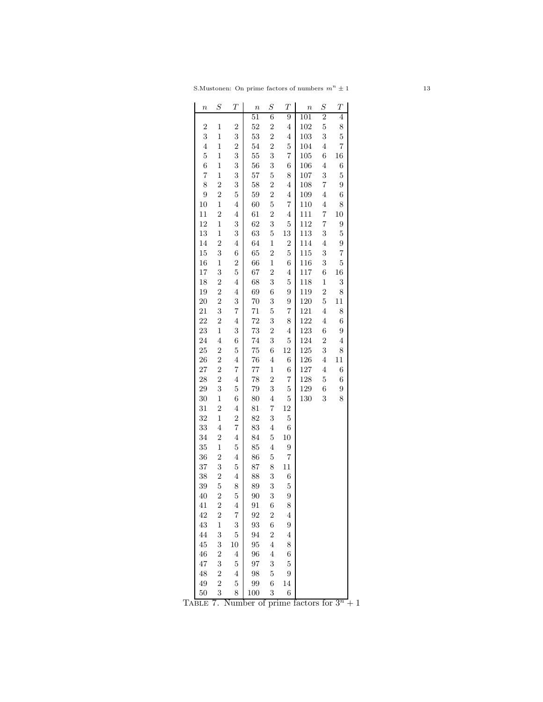| $\overline{2}$<br>6<br>9<br>4<br>101<br>51<br>5<br>$\overline{2}$<br>$\mathbf{1}$<br>$\overline{2}$<br>52<br>$\overline{2}$<br>102<br>8<br>$\overline{4}$<br>3<br>53<br>$\overline{2}$<br>103<br>3<br>$\overline{5}$<br>3<br>$\mathbf{1}$<br>$\overline{4}$<br>$\overline{2}$<br>$\overline{2}$<br>$\overline{4}$<br>$\mathbf{1}$<br>54<br>$\overline{5}$<br>104<br>$\overline{4}$<br>7<br>3<br>$\overline{5}$<br>$\mathbf{1}$<br>55<br>3<br>105<br>7<br>6<br>16<br>6<br>3<br>$\mathbf{1}$<br>56<br>3<br>106<br>$\overline{4}$<br>6<br>$\;6\;$<br>$\overline{7}$<br>$\mathbf{1}$<br>3<br>57<br>$\overline{5}$<br>107<br>3<br>$\overline{5}$<br>8<br>8<br>$\overline{2}$<br>3<br>58<br>$\overline{2}$<br>108<br>7<br>$\overline{\mathbf{4}}$<br>9<br>9<br>$\overline{2}$<br>$\overline{5}$<br>$\overline{2}$<br>59<br>$\overline{4}$<br>109<br>$\overline{4}$<br>6<br>10<br>$\mathbf{1}$<br>60<br>$\overline{5}$<br>$\overline{7}$<br>110<br>$\overline{4}$<br>$\overline{4}$<br>8<br>11<br>$\overline{c}$<br>61<br>$\overline{2}$<br>111<br>7<br>$\overline{4}$<br>$\overline{\mathbf{4}}$<br>10<br>12<br>$\mathbf{1}$<br>3<br>62<br>3<br>112<br>9<br>$\overline{5}$<br>7<br>$\mathbf{1}$<br>113<br>13<br>3<br>63<br>$\overline{5}$<br>13<br>3<br>5 |  |
|-----------------------------------------------------------------------------------------------------------------------------------------------------------------------------------------------------------------------------------------------------------------------------------------------------------------------------------------------------------------------------------------------------------------------------------------------------------------------------------------------------------------------------------------------------------------------------------------------------------------------------------------------------------------------------------------------------------------------------------------------------------------------------------------------------------------------------------------------------------------------------------------------------------------------------------------------------------------------------------------------------------------------------------------------------------------------------------------------------------------------------------------------------------------------------------------------------------------------------------------------------|--|
|                                                                                                                                                                                                                                                                                                                                                                                                                                                                                                                                                                                                                                                                                                                                                                                                                                                                                                                                                                                                                                                                                                                                                                                                                                                     |  |
|                                                                                                                                                                                                                                                                                                                                                                                                                                                                                                                                                                                                                                                                                                                                                                                                                                                                                                                                                                                                                                                                                                                                                                                                                                                     |  |
|                                                                                                                                                                                                                                                                                                                                                                                                                                                                                                                                                                                                                                                                                                                                                                                                                                                                                                                                                                                                                                                                                                                                                                                                                                                     |  |
|                                                                                                                                                                                                                                                                                                                                                                                                                                                                                                                                                                                                                                                                                                                                                                                                                                                                                                                                                                                                                                                                                                                                                                                                                                                     |  |
|                                                                                                                                                                                                                                                                                                                                                                                                                                                                                                                                                                                                                                                                                                                                                                                                                                                                                                                                                                                                                                                                                                                                                                                                                                                     |  |
|                                                                                                                                                                                                                                                                                                                                                                                                                                                                                                                                                                                                                                                                                                                                                                                                                                                                                                                                                                                                                                                                                                                                                                                                                                                     |  |
|                                                                                                                                                                                                                                                                                                                                                                                                                                                                                                                                                                                                                                                                                                                                                                                                                                                                                                                                                                                                                                                                                                                                                                                                                                                     |  |
|                                                                                                                                                                                                                                                                                                                                                                                                                                                                                                                                                                                                                                                                                                                                                                                                                                                                                                                                                                                                                                                                                                                                                                                                                                                     |  |
|                                                                                                                                                                                                                                                                                                                                                                                                                                                                                                                                                                                                                                                                                                                                                                                                                                                                                                                                                                                                                                                                                                                                                                                                                                                     |  |
|                                                                                                                                                                                                                                                                                                                                                                                                                                                                                                                                                                                                                                                                                                                                                                                                                                                                                                                                                                                                                                                                                                                                                                                                                                                     |  |
|                                                                                                                                                                                                                                                                                                                                                                                                                                                                                                                                                                                                                                                                                                                                                                                                                                                                                                                                                                                                                                                                                                                                                                                                                                                     |  |
|                                                                                                                                                                                                                                                                                                                                                                                                                                                                                                                                                                                                                                                                                                                                                                                                                                                                                                                                                                                                                                                                                                                                                                                                                                                     |  |
|                                                                                                                                                                                                                                                                                                                                                                                                                                                                                                                                                                                                                                                                                                                                                                                                                                                                                                                                                                                                                                                                                                                                                                                                                                                     |  |
| $\overline{2}$<br>114<br>14<br>64<br>$\mathbf{1}$<br>$\overline{2}$<br>$\overline{4}$<br>$\overline{9}$<br>$\overline{4}$                                                                                                                                                                                                                                                                                                                                                                                                                                                                                                                                                                                                                                                                                                                                                                                                                                                                                                                                                                                                                                                                                                                           |  |
| 3<br>15<br>6<br>65<br>$\overline{2}$<br>$\mathbf 5$<br>115<br>3<br>$\overline{7}$                                                                                                                                                                                                                                                                                                                                                                                                                                                                                                                                                                                                                                                                                                                                                                                                                                                                                                                                                                                                                                                                                                                                                                   |  |
| $\overline{2}$<br>16<br>$\mathbf{1}$<br>66<br>$\mathbf{1}$<br>$\sqrt{6}$<br>116<br>3<br>$\mathbf 5$                                                                                                                                                                                                                                                                                                                                                                                                                                                                                                                                                                                                                                                                                                                                                                                                                                                                                                                                                                                                                                                                                                                                                 |  |
| 3<br>$\overline{5}$<br>67<br>17<br>$\overline{2}$<br>117<br>$\overline{\mathbf{4}}$<br>6<br>16                                                                                                                                                                                                                                                                                                                                                                                                                                                                                                                                                                                                                                                                                                                                                                                                                                                                                                                                                                                                                                                                                                                                                      |  |
| 18<br>$\overline{c}$<br>68<br>3<br>118<br>$\overline{4}$<br>$\overline{5}$<br>$\mathbf 1$<br>3                                                                                                                                                                                                                                                                                                                                                                                                                                                                                                                                                                                                                                                                                                                                                                                                                                                                                                                                                                                                                                                                                                                                                      |  |
| $\overline{2}$<br>19<br>$\overline{4}$<br>69<br>6<br>119<br>$\overline{2}$<br>9<br>8                                                                                                                                                                                                                                                                                                                                                                                                                                                                                                                                                                                                                                                                                                                                                                                                                                                                                                                                                                                                                                                                                                                                                                |  |
| $\overline{2}$<br>3<br>120<br>20<br>3<br>9<br>$\overline{5}$<br>70<br>11                                                                                                                                                                                                                                                                                                                                                                                                                                                                                                                                                                                                                                                                                                                                                                                                                                                                                                                                                                                                                                                                                                                                                                            |  |
| 3<br>121<br>21<br>$\overline{7}$<br>71<br>$\overline{5}$<br>7<br>$\overline{4}$<br>8                                                                                                                                                                                                                                                                                                                                                                                                                                                                                                                                                                                                                                                                                                                                                                                                                                                                                                                                                                                                                                                                                                                                                                |  |
| $\overline{2}$<br>3<br>122<br>22<br>$\overline{4}$<br>72<br>$\overline{4}$<br>$\sqrt{6}$<br>8                                                                                                                                                                                                                                                                                                                                                                                                                                                                                                                                                                                                                                                                                                                                                                                                                                                                                                                                                                                                                                                                                                                                                       |  |
| 23<br>$\mathbf{1}$<br>3<br>73<br>$\overline{2}$<br>123<br>6<br>$\overline{\mathbf{4}}$<br>9                                                                                                                                                                                                                                                                                                                                                                                                                                                                                                                                                                                                                                                                                                                                                                                                                                                                                                                                                                                                                                                                                                                                                         |  |
| $\overline{4}$<br>74<br>3<br>124<br>24<br>6<br>$\overline{5}$<br>$\overline{2}$<br>$\overline{4}$                                                                                                                                                                                                                                                                                                                                                                                                                                                                                                                                                                                                                                                                                                                                                                                                                                                                                                                                                                                                                                                                                                                                                   |  |
| $\overline{2}$<br>125<br>25<br>$\overline{5}$<br>75<br>6<br>12<br>3<br>8                                                                                                                                                                                                                                                                                                                                                                                                                                                                                                                                                                                                                                                                                                                                                                                                                                                                                                                                                                                                                                                                                                                                                                            |  |
| $\overline{2}$<br>126<br>26<br>$\overline{4}$<br>76<br>$\overline{4}$<br>6<br>$\overline{4}$<br>11                                                                                                                                                                                                                                                                                                                                                                                                                                                                                                                                                                                                                                                                                                                                                                                                                                                                                                                                                                                                                                                                                                                                                  |  |
| $\overline{c}$<br>$\overline{7}$<br>127<br>27<br>$77\,$<br>$\mathbf{1}$<br>6<br>$\overline{4}$<br>6                                                                                                                                                                                                                                                                                                                                                                                                                                                                                                                                                                                                                                                                                                                                                                                                                                                                                                                                                                                                                                                                                                                                                 |  |
| $\overline{2}$<br>128<br>28<br>78<br>$\overline{2}$<br>$\overline{4}$<br>5<br>6<br>7                                                                                                                                                                                                                                                                                                                                                                                                                                                                                                                                                                                                                                                                                                                                                                                                                                                                                                                                                                                                                                                                                                                                                                |  |
| 3<br>$\overline{5}$<br>29<br>79<br>3<br>129<br>$\overline{5}$<br>6<br>9                                                                                                                                                                                                                                                                                                                                                                                                                                                                                                                                                                                                                                                                                                                                                                                                                                                                                                                                                                                                                                                                                                                                                                             |  |
| 30<br>80<br>$\overline{4}$<br>130<br>3<br>8<br>$\mathbf 1$<br>6<br>$\overline{5}$                                                                                                                                                                                                                                                                                                                                                                                                                                                                                                                                                                                                                                                                                                                                                                                                                                                                                                                                                                                                                                                                                                                                                                   |  |
| 31<br>$\overline{2}$<br>81<br>12<br>$\overline{4}$<br>7                                                                                                                                                                                                                                                                                                                                                                                                                                                                                                                                                                                                                                                                                                                                                                                                                                                                                                                                                                                                                                                                                                                                                                                             |  |
| $\overline{2}$<br>3<br>32<br>$\mathbf{1}$<br>82<br>$\overline{5}$<br>$\overline{7}$                                                                                                                                                                                                                                                                                                                                                                                                                                                                                                                                                                                                                                                                                                                                                                                                                                                                                                                                                                                                                                                                                                                                                                 |  |
| 33<br>$\overline{4}$<br>83<br>$\overline{4}$<br>$\sqrt{6}$                                                                                                                                                                                                                                                                                                                                                                                                                                                                                                                                                                                                                                                                                                                                                                                                                                                                                                                                                                                                                                                                                                                                                                                          |  |
| 34<br>$\overline{2}$<br>84<br>$\overline{5}$<br>10<br>4<br>35<br>$\mathbf{1}$<br>$\overline{5}$<br>85<br>$\overline{4}$                                                                                                                                                                                                                                                                                                                                                                                                                                                                                                                                                                                                                                                                                                                                                                                                                                                                                                                                                                                                                                                                                                                             |  |
| 9<br>$\overline{2}$<br>$\overline{5}$<br>36<br>$\overline{4}$<br>86<br>$\overline{7}$                                                                                                                                                                                                                                                                                                                                                                                                                                                                                                                                                                                                                                                                                                                                                                                                                                                                                                                                                                                                                                                                                                                                                               |  |
| 37<br>3<br>$\overline{5}$<br>87<br>8<br>11                                                                                                                                                                                                                                                                                                                                                                                                                                                                                                                                                                                                                                                                                                                                                                                                                                                                                                                                                                                                                                                                                                                                                                                                          |  |
| 38<br>$\overline{2}$<br>$\overline{4}$<br>88<br>3<br>6                                                                                                                                                                                                                                                                                                                                                                                                                                                                                                                                                                                                                                                                                                                                                                                                                                                                                                                                                                                                                                                                                                                                                                                              |  |
| 39<br>$\overline{5}$<br>8<br>89<br>3<br>$\mathbf 5$                                                                                                                                                                                                                                                                                                                                                                                                                                                                                                                                                                                                                                                                                                                                                                                                                                                                                                                                                                                                                                                                                                                                                                                                 |  |
| $\overline{2}$<br>5<br>3<br>9<br>40<br>90                                                                                                                                                                                                                                                                                                                                                                                                                                                                                                                                                                                                                                                                                                                                                                                                                                                                                                                                                                                                                                                                                                                                                                                                           |  |
| $\overline{c}$<br>6<br>41<br>$\overline{4}$<br>91<br>8                                                                                                                                                                                                                                                                                                                                                                                                                                                                                                                                                                                                                                                                                                                                                                                                                                                                                                                                                                                                                                                                                                                                                                                              |  |
| $\overline{2}$<br>42<br>$\overline{7}$<br>$\overline{2}$<br>$\overline{4}$<br>92                                                                                                                                                                                                                                                                                                                                                                                                                                                                                                                                                                                                                                                                                                                                                                                                                                                                                                                                                                                                                                                                                                                                                                    |  |
| 3<br>$\mathbf{1}$<br>6<br>43<br>9<br>93                                                                                                                                                                                                                                                                                                                                                                                                                                                                                                                                                                                                                                                                                                                                                                                                                                                                                                                                                                                                                                                                                                                                                                                                             |  |
| 3<br>$\overline{5}$<br>$\overline{2}$<br>$\overline{4}$<br>44<br>94                                                                                                                                                                                                                                                                                                                                                                                                                                                                                                                                                                                                                                                                                                                                                                                                                                                                                                                                                                                                                                                                                                                                                                                 |  |
| 3<br>$\overline{4}$<br>$10\,$<br>45<br>95<br>8                                                                                                                                                                                                                                                                                                                                                                                                                                                                                                                                                                                                                                                                                                                                                                                                                                                                                                                                                                                                                                                                                                                                                                                                      |  |
| $\overline{2}$<br>46<br>$\overline{4}$<br>$\overline{4}$<br>96<br>6                                                                                                                                                                                                                                                                                                                                                                                                                                                                                                                                                                                                                                                                                                                                                                                                                                                                                                                                                                                                                                                                                                                                                                                 |  |
| 3<br>$\overline{5}$<br>3<br>47<br>97<br>$\overline{5}$                                                                                                                                                                                                                                                                                                                                                                                                                                                                                                                                                                                                                                                                                                                                                                                                                                                                                                                                                                                                                                                                                                                                                                                              |  |
| $\overline{2}$<br>$\overline{4}$<br>48<br>$\overline{5}$<br>98<br>9                                                                                                                                                                                                                                                                                                                                                                                                                                                                                                                                                                                                                                                                                                                                                                                                                                                                                                                                                                                                                                                                                                                                                                                 |  |
| $\overline{2}$<br>$\overline{5}$<br>6<br>49<br>99<br>14                                                                                                                                                                                                                                                                                                                                                                                                                                                                                                                                                                                                                                                                                                                                                                                                                                                                                                                                                                                                                                                                                                                                                                                             |  |
| 3<br>8<br>100<br>3<br>6<br>50                                                                                                                                                                                                                                                                                                                                                                                                                                                                                                                                                                                                                                                                                                                                                                                                                                                                                                                                                                                                                                                                                                                                                                                                                       |  |

TABLE 7. Number of prime factors for  $3^n + 1$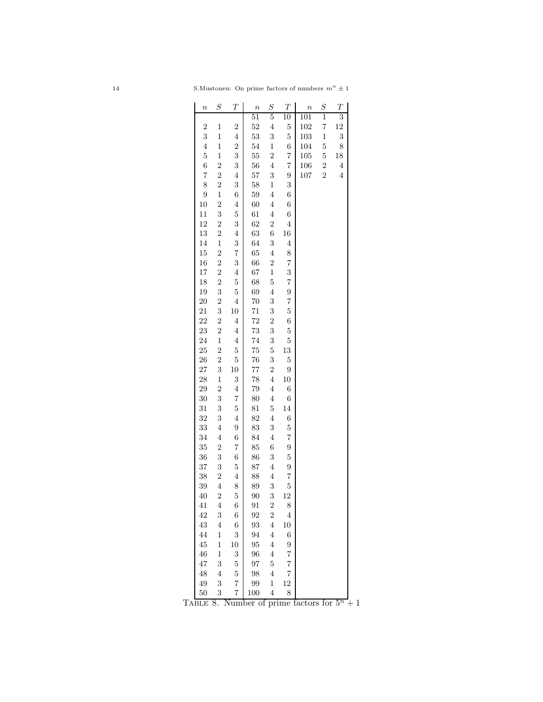|                  |                                  |                                  |                  |                                  | $\boldsymbol{T}$     |                  |                  | $\overline{T}$          |
|------------------|----------------------------------|----------------------------------|------------------|----------------------------------|----------------------|------------------|------------------|-------------------------|
| $\boldsymbol{n}$ | $\scriptstyle S$                 | $\boldsymbol{T}$                 | $\boldsymbol{n}$ | $\boldsymbol{S}$                 |                      | $\boldsymbol{n}$ | $\boldsymbol{S}$ |                         |
|                  |                                  |                                  | $^{51}$          | $\overline{5}$                   | 10                   | 101              | 1                | $\overline{3}$          |
| $\overline{c}$   | $\mathbf{1}$                     | $\overline{c}$                   | 52               | $\overline{4}$                   | $\overline{5}$       | 102              | 7                | 12                      |
| 3                | $\mathbf{1}$                     | 4                                | 53               | 3                                | $\overline{5}$       | 103              | $\mathbf{1}$     | 3                       |
| $\overline{4}$   | $\mathbf{1}$                     | $\overline{2}$                   | 54               | $\mathbf{1}$                     | 6                    | 104              | 5                | 8                       |
| $\overline{5}$   | $\mathbf{1}$                     | 3                                | 55               | $\overline{c}$<br>$\overline{4}$ | $\overline{7}$       | 105              | $\overline{5}$   | 18                      |
| 6                | $\overline{2}$                   | 3                                | 56               |                                  | 7                    | 106              | $\overline{2}$   | $\overline{\mathbf{4}}$ |
| $\overline{7}$   | $\overline{2}$<br>$\overline{2}$ | $\overline{4}$                   | 57               | 3                                | 9                    | 107              | $\overline{2}$   | $\overline{\mathbf{4}}$ |
| 8<br>9           |                                  | 3                                | 58               | $\mathbf{1}$<br>$\overline{4}$   | 3                    |                  |                  |                         |
|                  | $\mathbf{1}$<br>$\overline{2}$   | 6<br>$\overline{4}$              | 59               |                                  | 6                    |                  |                  |                         |
| 10               |                                  |                                  | 60               | $\overline{4}$                   | 6                    |                  |                  |                         |
| 11               | 3                                | $\overline{5}$                   | 61               | $\overline{4}$                   | 6                    |                  |                  |                         |
| 12               | $\overline{2}$                   | 3                                | 62               | $\overline{c}$                   | $\overline{4}$       |                  |                  |                         |
| 13               | $\overline{2}$                   | $\overline{4}$                   | 63               | 6                                | 16                   |                  |                  |                         |
| 14               | $\mathbf{1}$                     | 3                                | 64               | 3                                | $\overline{4}$       |                  |                  |                         |
| 15               | $\overline{2}$                   | $\overline{7}$                   | 65               | $\overline{4}$                   | 8                    |                  |                  |                         |
| 16               | $\overline{2}$                   | 3                                | 66               | $\overline{2}$                   | $\overline{7}$       |                  |                  |                         |
| 17               | $\overline{2}$                   | $\overline{4}$                   | 67               | $\mathbf{1}$                     | 3                    |                  |                  |                         |
| 18               | $\overline{2}$                   | $\overline{5}$                   | 68               | $\overline{5}$                   | $\overline{7}$       |                  |                  |                         |
| 19               | 3                                | $\overline{5}$                   | 69               | $\overline{4}$                   | 9                    |                  |                  |                         |
| 20               | $\overline{2}$                   | $\overline{4}$                   | 70               | 3                                | 7                    |                  |                  |                         |
| 21               | 3                                | 10                               | 71               | 3                                | $\overline{5}$       |                  |                  |                         |
| 22               | $\overline{2}$                   | $\overline{4}$                   | 72               | $\overline{2}$                   | 6                    |                  |                  |                         |
| 23               | $\overline{2}$                   | $\overline{4}$                   | 73               | 3                                | $\overline{5}$       |                  |                  |                         |
| 24               | $\mathbf{1}$                     | $\overline{4}$                   | 74               | 3                                | $\overline{5}$       |                  |                  |                         |
| 25               | $\overline{2}$                   | $\overline{5}$                   | 75               | $\overline{5}$                   | 13                   |                  |                  |                         |
| 26               | $\overline{2}$                   | $\overline{5}$                   | 76               | 3                                | $\overline{5}$       |                  |                  |                         |
| 27               | 3                                | 10                               | 77               | $\overline{2}$                   | 9                    |                  |                  |                         |
| 28               | $\mathbf{1}$                     | 3                                | 78               | $\overline{4}$                   | 10                   |                  |                  |                         |
| 29               | $\overline{2}$                   | $\overline{4}$                   | 79               | $\overline{4}$                   | 6                    |                  |                  |                         |
| 30               | 3                                | $\overline{7}$                   | 80               | $\overline{4}$                   | 6                    |                  |                  |                         |
| 31               | 3                                | $\overline{5}$                   | 81               | $\overline{5}$                   | 14                   |                  |                  |                         |
| 32               | 3                                | $\overline{4}$                   | 82               | $\overline{4}$                   | 6                    |                  |                  |                         |
| 33               | $\overline{4}$                   | 9                                | 83               | 3                                | $\overline{5}$       |                  |                  |                         |
| 34               | $\overline{4}$                   | 6                                | 84               | $\overline{4}$                   | $\overline{7}$       |                  |                  |                         |
| 35               | $\overline{2}$                   | 7                                | 85               | 6                                | 9                    |                  |                  |                         |
| 36               | 3                                | 6                                | 86               | 3                                | $\overline{5}$       |                  |                  |                         |
| 37               | 3                                | $\overline{5}$                   | 87               | $\overline{4}$                   | 9                    |                  |                  |                         |
| 38               | $\overline{2}$                   | $\overline{4}$                   | 88               | $\overline{4}$                   | 7                    |                  |                  |                         |
| 39               | $\overline{4}$                   | 8                                | 89               | 3                                | $\overline{5}$<br>12 |                  |                  |                         |
| 40               | $\overline{2}$                   | $\overline{5}$                   | 90               | 3                                |                      |                  |                  |                         |
| 41               | 4                                | $\,$ 6 $\,$                      | 91               | $\overline{c}$                   | 8                    |                  |                  |                         |
| 42               | 3                                | $\sqrt{6}$                       | 92               | $\overline{2}$                   | $\overline{4}$       |                  |                  |                         |
| 43               | $\overline{4}$                   | $\overline{6}$                   | 93               | $\overline{4}$                   | $10\,$               |                  |                  |                         |
| 44               | $\,1$                            | 3                                | 94               | $\overline{4}$                   | 6                    |                  |                  |                         |
| 45               | $\mathbf 1$                      | $10\,$                           | 95               | $\overline{4}$                   | 9                    |                  |                  |                         |
| 46               | $\,1$                            | 3                                | 96               | $\overline{4}$                   | $\overline{7}$       |                  |                  |                         |
| 47               | 3                                | $\overline{5}$                   | 97               | $\overline{5}$                   | $\overline{7}$       |                  |                  |                         |
| 48               | $\overline{4}$                   | $\overline{5}$                   | 98               | $\overline{4}$                   | $\overline{7}$       |                  |                  |                         |
| 49               | 3                                | $\overline{7}$<br>$\overline{7}$ | 99               | $\mathbf 1$                      | 12<br>8              |                  |                  |                         |
| 50               | 3                                |                                  | 100              | $\overline{4}$                   |                      |                  |                  |                         |

TABLE 8. Number of prime factors for  $5^n + 1$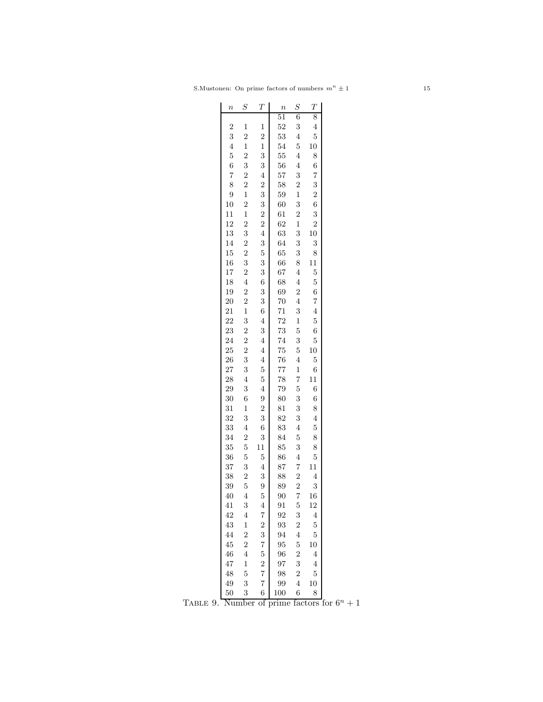| $\boldsymbol{n}$ | $\mathcal{S}_{0}^{(n)}$ | $\overline{T}$ | $\boldsymbol{n}$ | $\boldsymbol{S}$ | $\boldsymbol{T}$ |  |
|------------------|-------------------------|----------------|------------------|------------------|------------------|--|
|                  |                         |                | $\overline{51}$  | 6                | 8                |  |
| $\overline{2}$   | $\mathbf{1}$            | $\mathbf{1}$   | 52               | 3                | $\overline{4}$   |  |
| 3                | $\overline{2}$          | $\overline{2}$ | 53               | $\overline{4}$   | 5                |  |
| $\overline{4}$   | $\overline{1}$          | $\mathbf{1}$   | 54               | $\overline{5}$   | 10               |  |
| $\overline{5}$   | $\overline{2}$          | 3              | 55               | $\overline{4}$   | 8                |  |
| $\boldsymbol{6}$ | 3                       | 3              | 56               | $\overline{4}$   | 6                |  |
| $\overline{7}$   | $\overline{2}$          | $\overline{4}$ | 57               | 3                | $\overline{7}$   |  |
| 8                | $\overline{2}$          | $\overline{2}$ | 58               | $\overline{2}$   | 3                |  |
| 9                | $\mathbf{1}$            | 3              | 59               | $\mathbf{1}$     | $\overline{c}$   |  |
| 10               | $\overline{2}$          | 3              | 60               | 3                | 6                |  |
| 11               | $\mathbf{1}$            | $\overline{2}$ | 61               | $\overline{c}$   | 3                |  |
| 12               | $\overline{2}$          | $\overline{2}$ | 62               | $\mathbf{1}$     | $\overline{2}$   |  |
| 13               | 3                       | $\overline{4}$ | 63               | 3                | 10               |  |
| 14               | $\overline{2}$          | 3              | 64               | 3                | 3                |  |
| 15               | $\overline{2}$          | $\overline{5}$ | 65               | 3                | 8                |  |
|                  | 3                       | 3              |                  | 8                | 11               |  |
| 16               |                         |                | 66               |                  |                  |  |
| 17               | $\overline{2}$          | 3              | 67               | $\overline{4}$   | $\mathbf 5$      |  |
| 18               | $\overline{4}$          | 6              | 68               | $\overline{4}$   | $\overline{5}$   |  |
| 19               | $\overline{2}$          | 3              | 69               | $\overline{2}$   | 6                |  |
| 20               | $\overline{2}$          | 3              | 70               | $\overline{4}$   | $\overline{7}$   |  |
| 21               | $\mathbf{1}$            | 6              | 71               | 3                | $\overline{4}$   |  |
| 22               | 3                       | $\overline{4}$ | 72               | $\mathbf{1}$     | $\overline{5}$   |  |
| 23               | $\overline{c}$          | 3              | 73               | $\overline{5}$   | 6                |  |
| 24               | $\overline{2}$          | $\overline{4}$ | 74               | 3                | $\overline{5}$   |  |
| 25               | $\overline{2}$          | $\overline{4}$ | 75               | $\overline{5}$   | 10               |  |
| 26               | 3                       | $\overline{4}$ | 76               | $\overline{4}$   | $\overline{5}$   |  |
| 27               | 3                       | $\overline{5}$ | 77               | $\mathbf{1}$     | 6                |  |
| 28               | $\overline{4}$          | $\overline{5}$ | 78               | $\overline{7}$   | 11               |  |
| 29               | 3                       | $\overline{4}$ | 79               | $\overline{5}$   | 6                |  |
| 30               | 6                       | 9              | 80               | 3                | 6                |  |
| 31               | $\mathbf{1}$            | $\overline{2}$ | 81               | 3                | 8                |  |
| 32               | 3                       | 3              | 82               | 3                | $\overline{4}$   |  |
| 33               | $\overline{4}$          | 6              | 83               | $\overline{4}$   | $\overline{5}$   |  |
| 34               | $\overline{2}$          | 3              | 84               | $\overline{5}$   | 8                |  |
| 35               | 5                       | 11             | 85               | 3                | 8                |  |
| 36               | 5                       | 5              | 86               | $\overline{4}$   | 5                |  |
| 37               | 3                       | $\overline{4}$ | 87               | $\overline{7}$   | 11               |  |
| 38               | $\overline{2}$          | 3              | 88               | $\overline{2}$   | $\overline{4}$   |  |
| 39               | 5                       | 9              | 89               | $\overline{2}$   | 3                |  |
| 40               | $\overline{4}$          | $\mathbf 5$    | 90               | $\overline{7}$   | 16               |  |
| 41               | 3                       | 4              | 91               | $\overline{5}$   | 12               |  |
| 42               | $\overline{4}$          | 7              | 92               | 3                | $\overline{4}$   |  |
| 43               | $\mathbf{1}$            | $\overline{2}$ | 93               | $\overline{2}$   | 5                |  |
| 44               | $\overline{2}$          | 3              | 94               | $\overline{4}$   | 5                |  |
| 45               | $\overline{2}$          | $\overline{7}$ | 95               | $\overline{5}$   | 10               |  |
| 46               | $\overline{4}$          | $\overline{5}$ | 96               | $\overline{2}$   | 4                |  |
| 47               | $\mathbf{1}$            | $\overline{2}$ | 97               | 3                | $\overline{4}$   |  |
| 48               | 5                       | 7              | 98               | $\overline{2}$   | $\overline{5}$   |  |
| 49               | 3                       | 7              | 99               | $\overline{4}$   | 10               |  |
| 50               | 3                       | 6              | 100              | 6                | 8                |  |

TABLE 9. Number of prime factors for  $6^n + 1$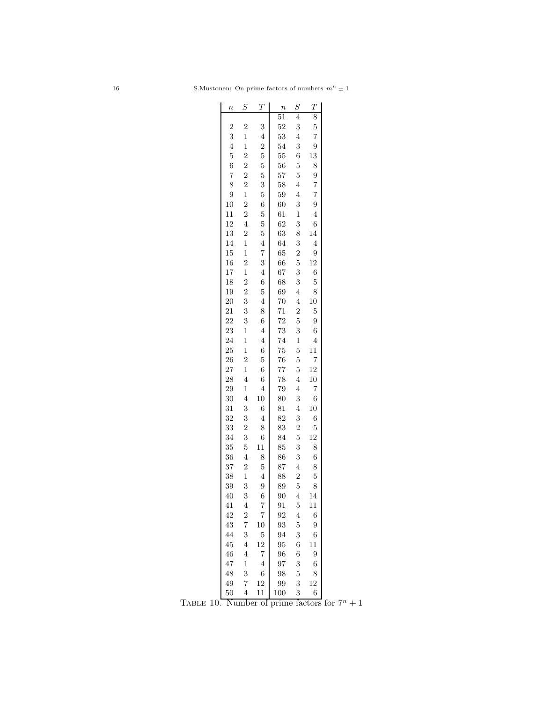| $\boldsymbol{n}$ | $\scriptstyle S$                 | Т              | $\boldsymbol{n}$ | $\boldsymbol{S}$ | $\boldsymbol{T}$ |  |
|------------------|----------------------------------|----------------|------------------|------------------|------------------|--|
|                  |                                  |                | 51               | $\overline{4}$   | 8                |  |
| $\overline{2}$   | $\overline{2}$                   | 3              | 52               | 3                | 5                |  |
| 3                | $\mathbf{1}$                     | $\overline{4}$ | 53               | $\overline{4}$   | 7                |  |
| $\overline{4}$   | $\mathbf{1}$                     | $\overline{c}$ | 54               | 3                | 9                |  |
| $\overline{5}$   | $\overline{2}$                   | $\overline{5}$ | 55               | 6                | 13               |  |
| 6                | $\overline{2}$                   | $\overline{5}$ | 56               | $\overline{5}$   | 8                |  |
| $\overline{7}$   | $\overline{2}$                   | $\overline{5}$ | 57               | $\overline{5}$   | 9                |  |
| 8                | $\overline{2}$                   | 3              | 58               | $\overline{4}$   | 7                |  |
| 9                | $\mathbf{1}$                     | 5              | 59               | $\overline{4}$   | $\overline{7}$   |  |
| 10               | $\overline{2}$                   | 6              | 60               | 3                | 9                |  |
| 11               | $\overline{2}$                   | $\overline{5}$ | 61               | $\mathbf{1}$     | $\overline{4}$   |  |
| 12               | $\overline{4}$                   | $\overline{5}$ | 62               | 3                | 6                |  |
| 13               | $\overline{c}$                   | $\overline{5}$ | 63               | 8                | 14               |  |
| 14               | $\mathbf{1}$                     | $\overline{4}$ | 64               | 3                | $\overline{4}$   |  |
| 15               | $\mathbf{1}$                     | $\overline{7}$ | 65               | $\overline{2}$   | 9                |  |
|                  |                                  |                |                  |                  |                  |  |
| 16               | $\overline{2}$<br>$\overline{1}$ | 3              | 66               | $\overline{5}$   | 12               |  |
| 17               |                                  | $\overline{4}$ | 67               | 3                | 6                |  |
| 18               | $\overline{2}$                   | 6              | 68               | 3                | 5                |  |
| 19               | $\overline{2}$                   | $\overline{5}$ | 69               | $\overline{4}$   | 8                |  |
| 20               | 3                                | $\overline{4}$ | 70               | $\overline{4}$   | 10               |  |
| 21               | 3                                | 8              | 71               | $\overline{2}$   | $\overline{5}$   |  |
| 22               | 3                                | 6              | 72               | $\overline{5}$   | 9                |  |
| 23               | $\mathbf{1}$                     | $\overline{4}$ | 73               | 3                | 6                |  |
| 24               | $\mathbf 1$                      | $\overline{4}$ | 74               | $\mathbf{1}$     | $\overline{4}$   |  |
| 25               | $\mathbf{1}$                     | 6              | 75               | $\overline{5}$   | 11               |  |
| 26               | $\overline{2}$                   | 5              | 76               | $\overline{5}$   | $\overline{7}$   |  |
| 27               | $\mathbf{1}$                     | 6              | 77               | $\overline{5}$   | 12               |  |
| 28               | $\overline{4}$                   | 6              | 78               | $\overline{4}$   | 10               |  |
| 29               | $\mathbf{1}$                     | $\overline{4}$ | 79               | $\overline{4}$   | 7                |  |
| 30               | $\overline{4}$                   | 10             | 80               | 3                | 6                |  |
| 31               | 3                                | 6              | 81               | $\overline{4}$   | 10               |  |
| 32               | 3                                | $\overline{4}$ | 82               | 3                | 6                |  |
| 33               | $\overline{2}$                   | 8              | 83               | $\overline{2}$   | $\overline{5}$   |  |
| 34               | 3                                | 6              | 84               | $\overline{5}$   | 12               |  |
| 35               | 5                                | 11             | 85               | 3                | 8                |  |
| 36               | $\overline{4}$                   | 8              | 86               | 3                | 6                |  |
| 37               | $\overline{2}$                   | $\overline{5}$ | 87               | $\overline{4}$   | 8                |  |
| 38               | $\mathbf{1}$                     | $\overline{4}$ | 88               | $\overline{2}$   | 5                |  |
| 39               | 3                                | 9              | 89               | $\overline{5}$   | 8                |  |
| 40               | 3                                | 6              | 90               | 4                | 14               |  |
| 41               | 4                                | 7              | 91               | $\overline{5}$   | 11               |  |
| 42               | $\overline{2}$                   | 7              | 92               | $\overline{4}$   | 6                |  |
| 43               | 7                                | 10             | 93               | $\overline{5}$   | 9                |  |
| 44               | 3                                | $\overline{5}$ | 94               | 3                | 6                |  |
| 45               | $\overline{4}$                   | 12             | 95               | 6                | 11               |  |
| 46               | 4                                | $\overline{7}$ | 96               | $\overline{6}$   | 9                |  |
| 47               | $\mathbf 1$                      | $\overline{4}$ | 97               | 3                | 6                |  |
| 48               | 3                                | 6              | 98               | $\overline{5}$   | 8                |  |
| 49               | 7                                | 12             | 99               | 3                | 12               |  |
| 50               | $\overline{4}$                   | 11             | 100              | 3                | 6                |  |

TABLE 10. Number of prime factors for  $7^n + 1$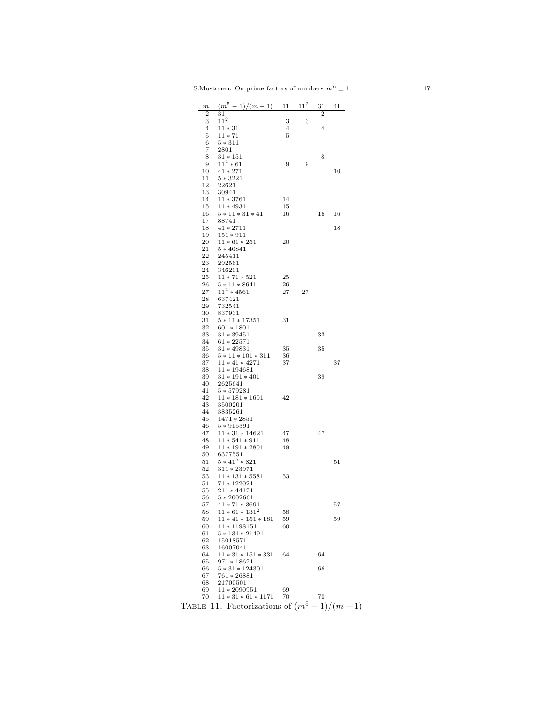| $\boldsymbol{m}$ | $(m^5-1)/(m-1)$ 11                          |    | $11^{2}$ | 31             | 41 |
|------------------|---------------------------------------------|----|----------|----------------|----|
| $\overline{2}$   | 31                                          |    |          | $\overline{2}$ |    |
| 3                | $11^{2}$                                    | 3  | 3        |                |    |
| 4                | $11 * 31$                                   | 4  |          | $\overline{4}$ |    |
| 5<br>6           | $11 * 71$<br>$5 * 311$                      | 5  |          |                |    |
| 7                | 2801                                        |    |          |                |    |
| 8                | $31 * 151$                                  |    |          | 8              |    |
| 9                | $11^2 * 61$                                 | 9  | 9        |                |    |
| 10               | $41 * 271$                                  |    |          |                | 10 |
| 11               | $5 * 3221$                                  |    |          |                |    |
| 12               | 22621                                       |    |          |                |    |
| 13               | 30941                                       |    |          |                |    |
| 14               | $11 * 3761$                                 | 14 |          |                |    |
| 15<br>16         | $11*4931$<br>$5 * 11 * 31 * 41$             | 15 |          | 16             |    |
| 17               | 88741                                       | 16 |          |                | 16 |
| 18               | $41 * 2711$                                 |    |          |                | 18 |
| 19               | $151 * 911$                                 |    |          |                |    |
| 20               | $11 * 61 * 251$                             | 20 |          |                |    |
| 21               | $5 * 40841$                                 |    |          |                |    |
| 22               | 245411                                      |    |          |                |    |
| 23               | 292561                                      |    |          |                |    |
| 24<br>25         | 346201<br>$11 * 71 * 521$                   | 25 |          |                |    |
| 26               | $5 * 11 * 8641$                             | 26 |          |                |    |
| 27               | $11^2 * 4561$                               | 27 | 27       |                |    |
| 28               | 637421                                      |    |          |                |    |
| 29               | 732541                                      |    |          |                |    |
| 30               | 837931                                      |    |          |                |    |
| 31               | $5 * 11 * 17351$                            | 31 |          |                |    |
| 32               | $601 * 1801$                                |    |          |                |    |
| 33               | $31 * 39451$                                |    |          | 33             |    |
| 34<br>35         | $61 * 22571$<br>$31 * 49831$                | 35 |          | 35             |    |
| 36               | $5 * 11 * 101 * 311$                        | 36 |          |                |    |
| 37               | $11 * 41 * 4271$                            | 37 |          |                | 37 |
| 38               | $11*194681$                                 |    |          |                |    |
| 39               | $31 * 191 * 401$                            |    |          | 39             |    |
| 40               | 2625641                                     |    |          |                |    |
| 41               | $5 * 579281$                                |    |          |                |    |
| 42               | $11 * 181 * 1601$                           | 42 |          |                |    |
| 43<br>44         | 3500201<br>3835261                          |    |          |                |    |
| 45               | $1471 * 2851$                               |    |          |                |    |
| 46               | $5 * 915391$                                |    |          |                |    |
| 47               | $11 * 31 * 14621$                           | 47 |          | 47             |    |
| 48               | $11 * 541 * 911$                            | 48 |          |                |    |
| 49               | $11 * 191 * 2801$                           | 49 |          |                |    |
| 50               | 6377551                                     |    |          |                |    |
| 51               | $5 * 41^2 * 821$                            |    |          |                | 51 |
| 52<br>53         | $311 * 23971$<br>$11 * 131 * 5581$          | 53 |          |                |    |
| 54               | $71 * 122021$                               |    |          |                |    |
| 55               | $211 * 44171$                               |    |          |                |    |
| 56               | $5 * 2002661$                               |    |          |                |    |
| 57               | $41 * 71 * 3691$                            |    |          |                | 57 |
| 58               | $11 * 61 * 131^2$                           | 58 |          |                |    |
| 59               | $11 * 41 * 151 * 181$                       | 59 |          |                | 59 |
| 60               | $11*1198151$                                | 60 |          |                |    |
| 61<br>62         | $5 * 131 * 21491$                           |    |          |                |    |
| 63               | 15018571<br>16007041                        |    |          |                |    |
| 64               | $11 * 31 * 151 * 331$                       | 64 |          | 64             |    |
| 65               | $971 * 18671$                               |    |          |                |    |
| 66               | $5 * 31 * 124301$                           |    |          | 66             |    |
| 67               | $761 * 26881$                               |    |          |                |    |
| 68               | 21700501                                    |    |          |                |    |
| 69               | $11 * 2090951$                              | 69 |          |                |    |
| 70               | $11 * 31 * 61 * 1171$                       | 70 |          | 70             |    |
|                  | TABLE 11. Factorizations of $(m^5-1)/(m-1)$ |    |          |                |    |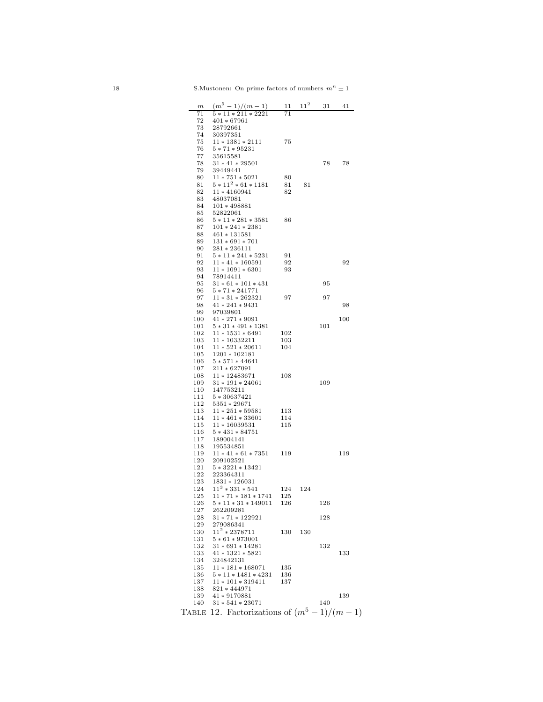| $\boldsymbol{m}$ | $(m^5-1)/(m-1)$ 11 11 <sup>2</sup>          |     |     | 31  | 41  |
|------------------|---------------------------------------------|-----|-----|-----|-----|
| 71               | $5 * \overline{11 * 211 * 2221}$            | 71  |     |     |     |
| 72               | $401 * 67961$                               |     |     |     |     |
| 73               | 28792661                                    |     |     |     |     |
| 74               | 30397351                                    |     |     |     |     |
|                  |                                             |     |     |     |     |
| 75               | $11 * 1381 * 2111$                          | 75  |     |     |     |
| 76               | $5 * 71 * 95231$                            |     |     |     |     |
| 77               | 35615581                                    |     |     |     |     |
| 78               | $31 * 41 * 29501$                           |     |     | 78  | 78  |
| 79               | 39449441                                    |     |     |     |     |
| 80               | $11 * 751 * 5021$                           | 80  |     |     |     |
| 81               | $5 * 11^2 * 61 * 1181$                      |     |     |     |     |
|                  |                                             | 81  | 81  |     |     |
| 82               | $11*4160941$                                | 82  |     |     |     |
| 83               | 48037081                                    |     |     |     |     |
| 84               | $101 * 498881$                              |     |     |     |     |
| 85               | 52822061                                    |     |     |     |     |
| 86               | $5 * 11 * 281 * 3581$                       | 86  |     |     |     |
| 87               | $101 * 241 * 2381$                          |     |     |     |     |
| 88               | $461 * 131581$                              |     |     |     |     |
|                  |                                             |     |     |     |     |
| 89               | $131 * 691 * 701$                           |     |     |     |     |
| 90               | $281 * 236111$                              |     |     |     |     |
| 91               | $5 * 11 * 241 * 5231$                       | 91  |     |     |     |
| 92               | $11 * 41 * 160591$                          | 92  |     |     | 92  |
| 93               | $11 * 1091 * 6301$                          | 93  |     |     |     |
| 94               | 78914411                                    |     |     |     |     |
| 95               | $31 * 61 * 101 * 431$                       |     |     | 95  |     |
| 96               |                                             |     |     |     |     |
|                  | $5 * 71 * 241771$                           |     |     |     |     |
| 97               | $11 * 31 * 262321$                          | 97  |     | 97  |     |
| 98               | $41 * 241 * 9431$                           |     |     |     | 98  |
| 99               | 97039801                                    |     |     |     |     |
| 100              | $41 * 271 * 9091$                           |     |     |     | 100 |
| 101              | $5 * 31 * 491 * 1381$                       |     |     | 101 |     |
| 102              | $11 * 1531 * 6491$                          | 102 |     |     |     |
| 103              | $11*10332211$                               |     |     |     |     |
|                  |                                             | 103 |     |     |     |
| 104              | $11 * 521 * 20611$                          | 104 |     |     |     |
| 105              | $1201 * 102181$                             |     |     |     |     |
| 106              | $5 * 571 * 44641$                           |     |     |     |     |
| 107              | $211 * 627091$                              |     |     |     |     |
| 108              | $11 * 12483671$                             | 108 |     |     |     |
| 109              | $31 * 191 * 24061$                          |     |     | 109 |     |
| 110              | 147753211                                   |     |     |     |     |
|                  |                                             |     |     |     |     |
| 111              | $5 * 30637421$                              |     |     |     |     |
| 112              | $5351 * 29671$                              |     |     |     |     |
| 113              | $11 * 251 * 59581$                          | 113 |     |     |     |
| 114              | $11 * 461 * 33601$                          | 114 |     |     |     |
| 115              | $11 * 16039531$                             | 115 |     |     |     |
| 116              | $5 * 431 * 84751$                           |     |     |     |     |
| 117              | 189004141                                   |     |     |     |     |
|                  |                                             |     |     |     |     |
| 118              | 195534851                                   |     |     |     |     |
| 119              | $11 * 41 * 61 * 7351$ 119                   |     |     |     | 119 |
| 120              | 209102521                                   |     |     |     |     |
| 121              | $5 * 3221 * 13421$                          |     |     |     |     |
| 122              | 223364311                                   |     |     |     |     |
| 123              | $1831 * 126031$                             |     |     |     |     |
| 124              | $11^3 * 331 * 541$                          | 124 | 124 |     |     |
|                  | $125 \quad 11 * 71 * 181 * 1741$            | 125 |     |     |     |
|                  |                                             |     |     |     |     |
| 126              | $5 * 11 * 31 * 149011$                      | 126 |     | 126 |     |
| 127              | 262209281                                   |     |     |     |     |
| 128              | $31 * 71 * 122921$                          |     |     | 128 |     |
| 129              | 279086341                                   |     |     |     |     |
| 130              | $11^2 * 2378711$                            | 130 | 130 |     |     |
| 131              | $5 * 61 * 973001$                           |     |     |     |     |
| 132              | $31 * 691 * 14281$                          |     |     | 132 |     |
|                  |                                             |     |     |     |     |
| 133              | $41 * 1321 * 5821$                          |     |     |     | 133 |
| 134              | 324842131                                   |     |     |     |     |
| 135              | $11 * 181 * 168071$                         | 135 |     |     |     |
| 136              | $5 * 11 * 1481 * 4231$                      | 136 |     |     |     |
| 137              | $11 * 101 * 319411$                         | 137 |     |     |     |
| 138              | $821 * 444971$                              |     |     |     |     |
| 139              | $41 * 9170881$                              |     |     |     | 139 |
|                  | $31 * 541 * 23071$                          |     |     |     |     |
| 140              |                                             |     |     | 140 |     |
|                  | TABLE 12. Factorizations of $(m^5-1)/(m-1)$ |     |     |     |     |